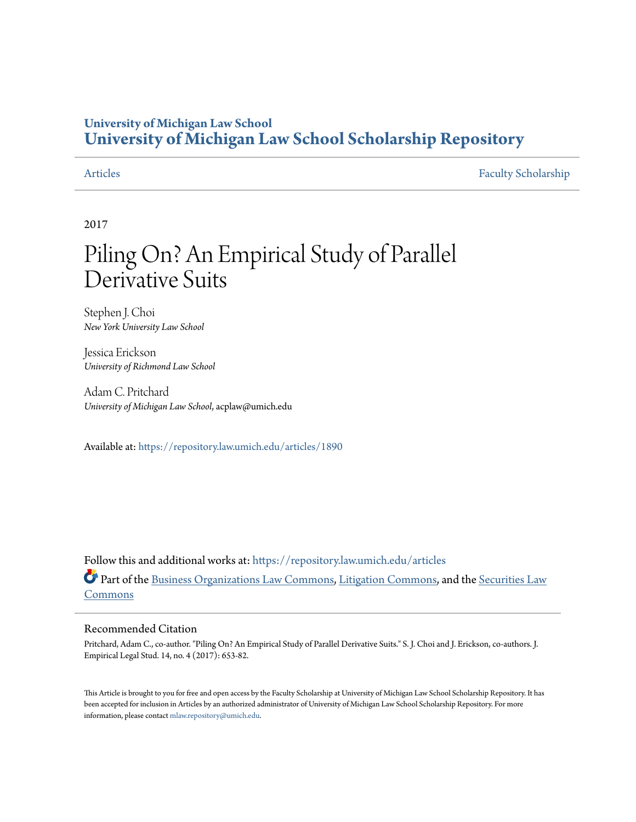# **University of Michigan Law School [University of Michigan Law School Scholarship Repository](https://repository.law.umich.edu?utm_source=repository.law.umich.edu%2Farticles%2F1890&utm_medium=PDF&utm_campaign=PDFCoverPages)**

[Articles](https://repository.law.umich.edu/articles?utm_source=repository.law.umich.edu%2Farticles%2F1890&utm_medium=PDF&utm_campaign=PDFCoverPages) [Faculty Scholarship](https://repository.law.umich.edu/faculty_scholarship?utm_source=repository.law.umich.edu%2Farticles%2F1890&utm_medium=PDF&utm_campaign=PDFCoverPages)

2017

# Piling On? An Empirical Study of Parallel Derivative Suits

Stephen J. Choi *New York University Law School*

Jessica Erickson *University of Richmond Law School*

Adam C. Pritchard *University of Michigan Law School*, acplaw@umich.edu

Available at: <https://repository.law.umich.edu/articles/1890>

Follow this and additional works at: [https://repository.law.umich.edu/articles](https://repository.law.umich.edu/articles?utm_source=repository.law.umich.edu%2Farticles%2F1890&utm_medium=PDF&utm_campaign=PDFCoverPages) Part of the [Business Organizations Law Commons,](http://network.bepress.com/hgg/discipline/900?utm_source=repository.law.umich.edu%2Farticles%2F1890&utm_medium=PDF&utm_campaign=PDFCoverPages) [Litigation Commons,](http://network.bepress.com/hgg/discipline/910?utm_source=repository.law.umich.edu%2Farticles%2F1890&utm_medium=PDF&utm_campaign=PDFCoverPages) and the [Securities Law](http://network.bepress.com/hgg/discipline/619?utm_source=repository.law.umich.edu%2Farticles%2F1890&utm_medium=PDF&utm_campaign=PDFCoverPages) [Commons](http://network.bepress.com/hgg/discipline/619?utm_source=repository.law.umich.edu%2Farticles%2F1890&utm_medium=PDF&utm_campaign=PDFCoverPages)

# Recommended Citation

Pritchard, Adam C., co-author. "Piling On? An Empirical Study of Parallel Derivative Suits." S. J. Choi and J. Erickson, co-authors. J. Empirical Legal Stud. 14, no. 4 (2017): 653-82.

This Article is brought to you for free and open access by the Faculty Scholarship at University of Michigan Law School Scholarship Repository. It has been accepted for inclusion in Articles by an authorized administrator of University of Michigan Law School Scholarship Repository. For more information, please contact [mlaw.repository@umich.edu.](mailto:mlaw.repository@umich.edu)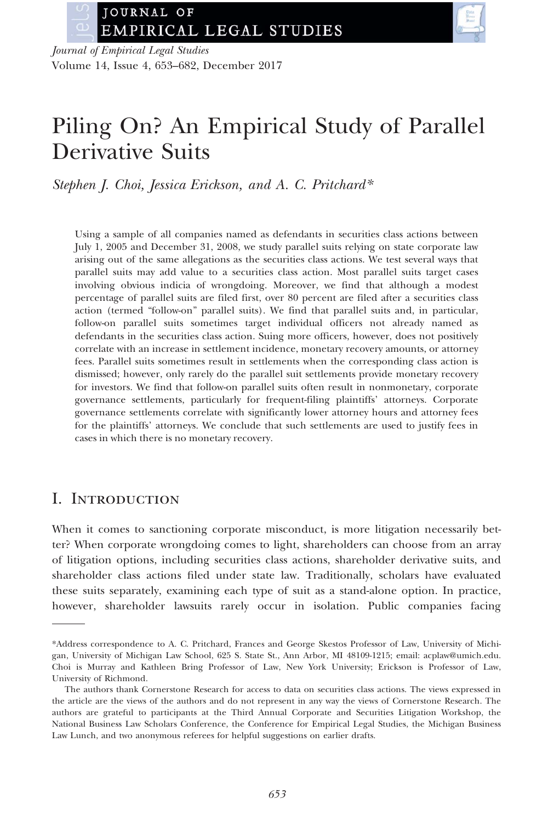

Journal of Empirical Legal Studies Volume 14, Issue 4, 653–682, December 2017

# Piling On? An Empirical Study of Parallel Derivative Suits

Stephen J. Choi, Jessica Erickson, and A. C. Pritchard\*

Using a sample of all companies named as defendants in securities class actions between July 1, 2005 and December 31, 2008, we study parallel suits relying on state corporate law arising out of the same allegations as the securities class actions. We test several ways that parallel suits may add value to a securities class action. Most parallel suits target cases involving obvious indicia of wrongdoing. Moreover, we find that although a modest percentage of parallel suits are filed first, over 80 percent are filed after a securities class action (termed "follow-on" parallel suits). We find that parallel suits and, in particular, follow-on parallel suits sometimes target individual officers not already named as defendants in the securities class action. Suing more officers, however, does not positively correlate with an increase in settlement incidence, monetary recovery amounts, or attorney fees. Parallel suits sometimes result in settlements when the corresponding class action is dismissed; however, only rarely do the parallel suit settlements provide monetary recovery for investors. We find that follow-on parallel suits often result in nonmonetary, corporate governance settlements, particularly for frequent-filing plaintiffs' attorneys. Corporate governance settlements correlate with significantly lower attorney hours and attorney fees for the plaintiffs' attorneys. We conclude that such settlements are used to justify fees in cases in which there is no monetary recovery.

# I. Introduction

When it comes to sanctioning corporate misconduct, is more litigation necessarily better? When corporate wrongdoing comes to light, shareholders can choose from an array of litigation options, including securities class actions, shareholder derivative suits, and shareholder class actions filed under state law. Traditionally, scholars have evaluated these suits separately, examining each type of suit as a stand-alone option. In practice, however, shareholder lawsuits rarely occur in isolation. Public companies facing

<sup>\*</sup>Address correspondence to A. C. Pritchard, Frances and George Skestos Professor of Law, University of Michigan, University of Michigan Law School, 625 S. State St., Ann Arbor, MI 48109-1215; email: acplaw@umich.edu. Choi is Murray and Kathleen Bring Professor of Law, New York University; Erickson is Professor of Law, University of Richmond.

The authors thank Cornerstone Research for access to data on securities class actions. The views expressed in the article are the views of the authors and do not represent in any way the views of Cornerstone Research. The authors are grateful to participants at the Third Annual Corporate and Securities Litigation Workshop, the National Business Law Scholars Conference, the Conference for Empirical Legal Studies, the Michigan Business Law Lunch, and two anonymous referees for helpful suggestions on earlier drafts.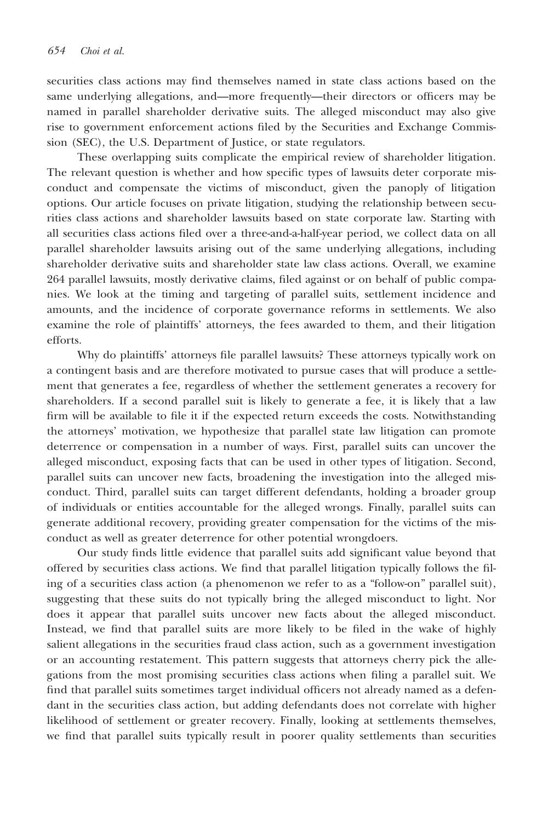securities class actions may find themselves named in state class actions based on the same underlying allegations, and—more frequently—their directors or officers may be named in parallel shareholder derivative suits. The alleged misconduct may also give rise to government enforcement actions filed by the Securities and Exchange Commission (SEC), the U.S. Department of Justice, or state regulators.

These overlapping suits complicate the empirical review of shareholder litigation. The relevant question is whether and how specific types of lawsuits deter corporate misconduct and compensate the victims of misconduct, given the panoply of litigation options. Our article focuses on private litigation, studying the relationship between securities class actions and shareholder lawsuits based on state corporate law. Starting with all securities class actions filed over a three-and-a-half-year period, we collect data on all parallel shareholder lawsuits arising out of the same underlying allegations, including shareholder derivative suits and shareholder state law class actions. Overall, we examine 264 parallel lawsuits, mostly derivative claims, filed against or on behalf of public companies. We look at the timing and targeting of parallel suits, settlement incidence and amounts, and the incidence of corporate governance reforms in settlements. We also examine the role of plaintiffs' attorneys, the fees awarded to them, and their litigation efforts.

Why do plaintiffs' attorneys file parallel lawsuits? These attorneys typically work on a contingent basis and are therefore motivated to pursue cases that will produce a settlement that generates a fee, regardless of whether the settlement generates a recovery for shareholders. If a second parallel suit is likely to generate a fee, it is likely that a law firm will be available to file it if the expected return exceeds the costs. Notwithstanding the attorneys' motivation, we hypothesize that parallel state law litigation can promote deterrence or compensation in a number of ways. First, parallel suits can uncover the alleged misconduct, exposing facts that can be used in other types of litigation. Second, parallel suits can uncover new facts, broadening the investigation into the alleged misconduct. Third, parallel suits can target different defendants, holding a broader group of individuals or entities accountable for the alleged wrongs. Finally, parallel suits can generate additional recovery, providing greater compensation for the victims of the misconduct as well as greater deterrence for other potential wrongdoers.

Our study finds little evidence that parallel suits add significant value beyond that offered by securities class actions. We find that parallel litigation typically follows the filing of a securities class action (a phenomenon we refer to as a "follow-on" parallel suit), suggesting that these suits do not typically bring the alleged misconduct to light. Nor does it appear that parallel suits uncover new facts about the alleged misconduct. Instead, we find that parallel suits are more likely to be filed in the wake of highly salient allegations in the securities fraud class action, such as a government investigation or an accounting restatement. This pattern suggests that attorneys cherry pick the allegations from the most promising securities class actions when filing a parallel suit. We find that parallel suits sometimes target individual officers not already named as a defendant in the securities class action, but adding defendants does not correlate with higher likelihood of settlement or greater recovery. Finally, looking at settlements themselves, we find that parallel suits typically result in poorer quality settlements than securities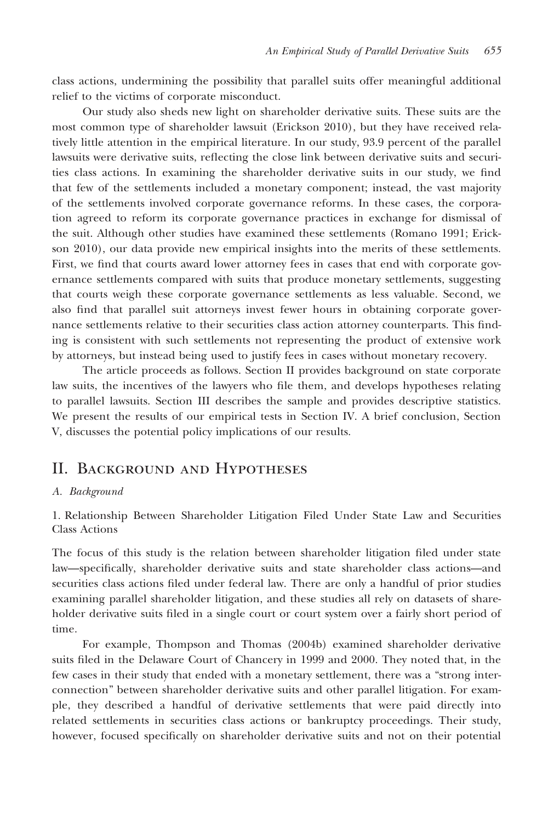class actions, undermining the possibility that parallel suits offer meaningful additional relief to the victims of corporate misconduct.

Our study also sheds new light on shareholder derivative suits. These suits are the most common type of shareholder lawsuit (Erickson 2010), but they have received relatively little attention in the empirical literature. In our study, 93.9 percent of the parallel lawsuits were derivative suits, reflecting the close link between derivative suits and securities class actions. In examining the shareholder derivative suits in our study, we find that few of the settlements included a monetary component; instead, the vast majority of the settlements involved corporate governance reforms. In these cases, the corporation agreed to reform its corporate governance practices in exchange for dismissal of the suit. Although other studies have examined these settlements (Romano 1991; Erickson 2010), our data provide new empirical insights into the merits of these settlements. First, we find that courts award lower attorney fees in cases that end with corporate governance settlements compared with suits that produce monetary settlements, suggesting that courts weigh these corporate governance settlements as less valuable. Second, we also find that parallel suit attorneys invest fewer hours in obtaining corporate governance settlements relative to their securities class action attorney counterparts. This finding is consistent with such settlements not representing the product of extensive work by attorneys, but instead being used to justify fees in cases without monetary recovery.

The article proceeds as follows. Section II provides background on state corporate law suits, the incentives of the lawyers who file them, and develops hypotheses relating to parallel lawsuits. Section III describes the sample and provides descriptive statistics. We present the results of our empirical tests in Section IV. A brief conclusion, Section V, discusses the potential policy implications of our results.

# II. Background and Hypotheses

#### A. Background

1. Relationship Between Shareholder Litigation Filed Under State Law and Securities Class Actions

The focus of this study is the relation between shareholder litigation filed under state law—specifically, shareholder derivative suits and state shareholder class actions—and securities class actions filed under federal law. There are only a handful of prior studies examining parallel shareholder litigation, and these studies all rely on datasets of shareholder derivative suits filed in a single court or court system over a fairly short period of time.

For example, Thompson and Thomas (2004b) examined shareholder derivative suits filed in the Delaware Court of Chancery in 1999 and 2000. They noted that, in the few cases in their study that ended with a monetary settlement, there was a "strong interconnection" between shareholder derivative suits and other parallel litigation. For example, they described a handful of derivative settlements that were paid directly into related settlements in securities class actions or bankruptcy proceedings. Their study, however, focused specifically on shareholder derivative suits and not on their potential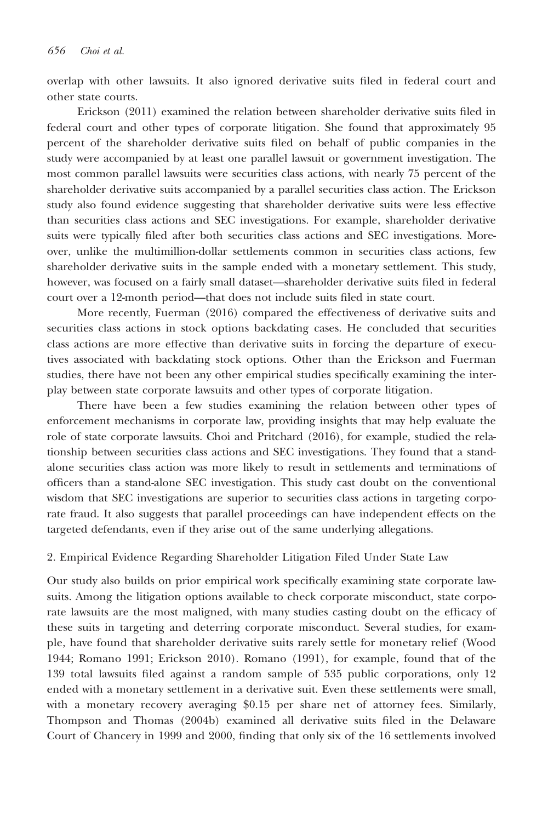overlap with other lawsuits. It also ignored derivative suits filed in federal court and other state courts.

Erickson (2011) examined the relation between shareholder derivative suits filed in federal court and other types of corporate litigation. She found that approximately 95 percent of the shareholder derivative suits filed on behalf of public companies in the study were accompanied by at least one parallel lawsuit or government investigation. The most common parallel lawsuits were securities class actions, with nearly 75 percent of the shareholder derivative suits accompanied by a parallel securities class action. The Erickson study also found evidence suggesting that shareholder derivative suits were less effective than securities class actions and SEC investigations. For example, shareholder derivative suits were typically filed after both securities class actions and SEC investigations. Moreover, unlike the multimillion-dollar settlements common in securities class actions, few shareholder derivative suits in the sample ended with a monetary settlement. This study, however, was focused on a fairly small dataset—shareholder derivative suits filed in federal court over a 12-month period—that does not include suits filed in state court.

More recently, Fuerman (2016) compared the effectiveness of derivative suits and securities class actions in stock options backdating cases. He concluded that securities class actions are more effective than derivative suits in forcing the departure of executives associated with backdating stock options. Other than the Erickson and Fuerman studies, there have not been any other empirical studies specifically examining the interplay between state corporate lawsuits and other types of corporate litigation.

There have been a few studies examining the relation between other types of enforcement mechanisms in corporate law, providing insights that may help evaluate the role of state corporate lawsuits. Choi and Pritchard (2016), for example, studied the relationship between securities class actions and SEC investigations. They found that a standalone securities class action was more likely to result in settlements and terminations of officers than a stand-alone SEC investigation. This study cast doubt on the conventional wisdom that SEC investigations are superior to securities class actions in targeting corporate fraud. It also suggests that parallel proceedings can have independent effects on the targeted defendants, even if they arise out of the same underlying allegations.

#### 2. Empirical Evidence Regarding Shareholder Litigation Filed Under State Law

Our study also builds on prior empirical work specifically examining state corporate lawsuits. Among the litigation options available to check corporate misconduct, state corporate lawsuits are the most maligned, with many studies casting doubt on the efficacy of these suits in targeting and deterring corporate misconduct. Several studies, for example, have found that shareholder derivative suits rarely settle for monetary relief (Wood 1944; Romano 1991; Erickson 2010). Romano (1991), for example, found that of the 139 total lawsuits filed against a random sample of 535 public corporations, only 12 ended with a monetary settlement in a derivative suit. Even these settlements were small, with a monetary recovery averaging \$0.15 per share net of attorney fees. Similarly, Thompson and Thomas (2004b) examined all derivative suits filed in the Delaware Court of Chancery in 1999 and 2000, finding that only six of the 16 settlements involved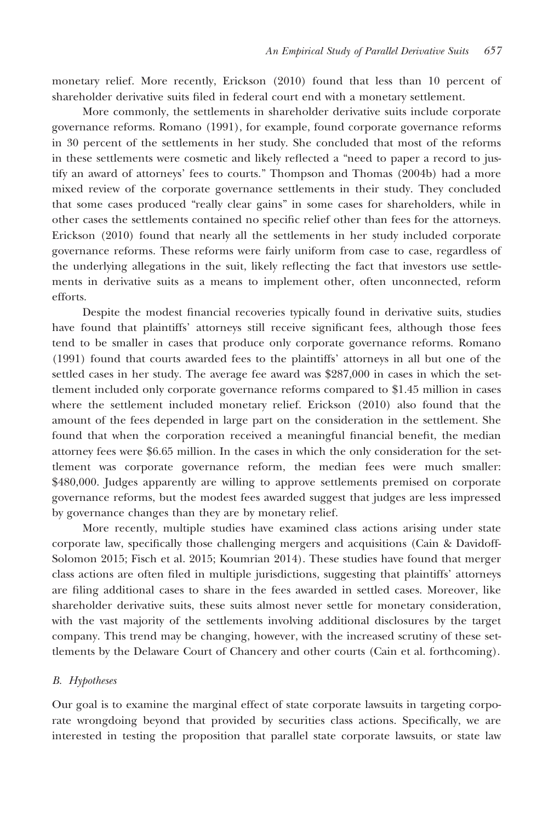monetary relief. More recently, Erickson (2010) found that less than 10 percent of shareholder derivative suits filed in federal court end with a monetary settlement.

More commonly, the settlements in shareholder derivative suits include corporate governance reforms. Romano (1991), for example, found corporate governance reforms in 30 percent of the settlements in her study. She concluded that most of the reforms in these settlements were cosmetic and likely reflected a "need to paper a record to justify an award of attorneys' fees to courts." Thompson and Thomas (2004b) had a more mixed review of the corporate governance settlements in their study. They concluded that some cases produced "really clear gains" in some cases for shareholders, while in other cases the settlements contained no specific relief other than fees for the attorneys. Erickson (2010) found that nearly all the settlements in her study included corporate governance reforms. These reforms were fairly uniform from case to case, regardless of the underlying allegations in the suit, likely reflecting the fact that investors use settlements in derivative suits as a means to implement other, often unconnected, reform efforts.

Despite the modest financial recoveries typically found in derivative suits, studies have found that plaintiffs' attorneys still receive significant fees, although those fees tend to be smaller in cases that produce only corporate governance reforms. Romano (1991) found that courts awarded fees to the plaintiffs' attorneys in all but one of the settled cases in her study. The average fee award was \$287,000 in cases in which the settlement included only corporate governance reforms compared to \$1.45 million in cases where the settlement included monetary relief. Erickson (2010) also found that the amount of the fees depended in large part on the consideration in the settlement. She found that when the corporation received a meaningful financial benefit, the median attorney fees were \$6.65 million. In the cases in which the only consideration for the settlement was corporate governance reform, the median fees were much smaller: \$480,000. Judges apparently are willing to approve settlements premised on corporate governance reforms, but the modest fees awarded suggest that judges are less impressed by governance changes than they are by monetary relief.

More recently, multiple studies have examined class actions arising under state corporate law, specifically those challenging mergers and acquisitions (Cain & Davidoff-Solomon 2015; Fisch et al. 2015; Koumrian 2014). These studies have found that merger class actions are often filed in multiple jurisdictions, suggesting that plaintiffs' attorneys are filing additional cases to share in the fees awarded in settled cases. Moreover, like shareholder derivative suits, these suits almost never settle for monetary consideration, with the vast majority of the settlements involving additional disclosures by the target company. This trend may be changing, however, with the increased scrutiny of these settlements by the Delaware Court of Chancery and other courts (Cain et al. forthcoming).

#### B. Hypotheses

Our goal is to examine the marginal effect of state corporate lawsuits in targeting corporate wrongdoing beyond that provided by securities class actions. Specifically, we are interested in testing the proposition that parallel state corporate lawsuits, or state law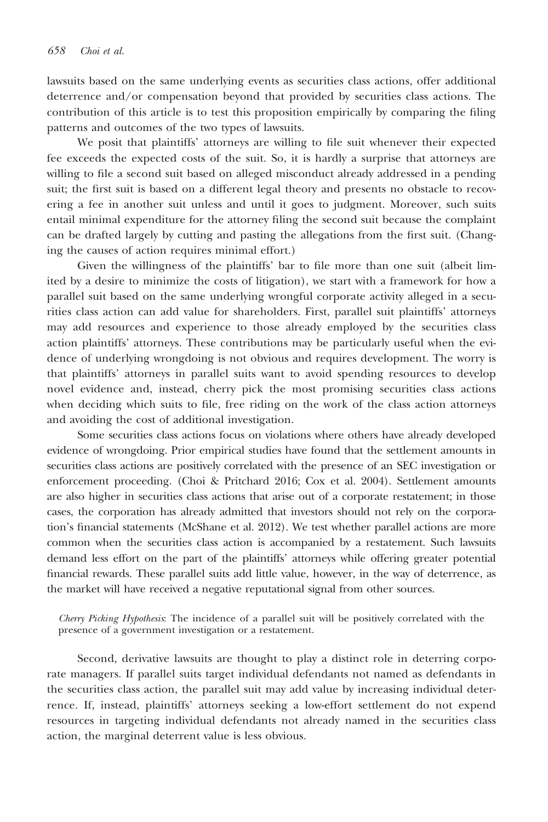lawsuits based on the same underlying events as securities class actions, offer additional deterrence and/or compensation beyond that provided by securities class actions. The contribution of this article is to test this proposition empirically by comparing the filing patterns and outcomes of the two types of lawsuits.

We posit that plaintiffs' attorneys are willing to file suit whenever their expected fee exceeds the expected costs of the suit. So, it is hardly a surprise that attorneys are willing to file a second suit based on alleged misconduct already addressed in a pending suit; the first suit is based on a different legal theory and presents no obstacle to recovering a fee in another suit unless and until it goes to judgment. Moreover, such suits entail minimal expenditure for the attorney filing the second suit because the complaint can be drafted largely by cutting and pasting the allegations from the first suit. (Changing the causes of action requires minimal effort.)

Given the willingness of the plaintiffs' bar to file more than one suit (albeit limited by a desire to minimize the costs of litigation), we start with a framework for how a parallel suit based on the same underlying wrongful corporate activity alleged in a securities class action can add value for shareholders. First, parallel suit plaintiffs' attorneys may add resources and experience to those already employed by the securities class action plaintiffs' attorneys. These contributions may be particularly useful when the evidence of underlying wrongdoing is not obvious and requires development. The worry is that plaintiffs' attorneys in parallel suits want to avoid spending resources to develop novel evidence and, instead, cherry pick the most promising securities class actions when deciding which suits to file, free riding on the work of the class action attorneys and avoiding the cost of additional investigation.

Some securities class actions focus on violations where others have already developed evidence of wrongdoing. Prior empirical studies have found that the settlement amounts in securities class actions are positively correlated with the presence of an SEC investigation or enforcement proceeding. (Choi & Pritchard 2016; Cox et al. 2004). Settlement amounts are also higher in securities class actions that arise out of a corporate restatement; in those cases, the corporation has already admitted that investors should not rely on the corporation's financial statements (McShane et al. 2012). We test whether parallel actions are more common when the securities class action is accompanied by a restatement. Such lawsuits demand less effort on the part of the plaintiffs' attorneys while offering greater potential financial rewards. These parallel suits add little value, however, in the way of deterrence, as the market will have received a negative reputational signal from other sources.

Cherry Picking Hypothesis: The incidence of a parallel suit will be positively correlated with the presence of a government investigation or a restatement.

Second, derivative lawsuits are thought to play a distinct role in deterring corporate managers. If parallel suits target individual defendants not named as defendants in the securities class action, the parallel suit may add value by increasing individual deterrence. If, instead, plaintiffs' attorneys seeking a low-effort settlement do not expend resources in targeting individual defendants not already named in the securities class action, the marginal deterrent value is less obvious.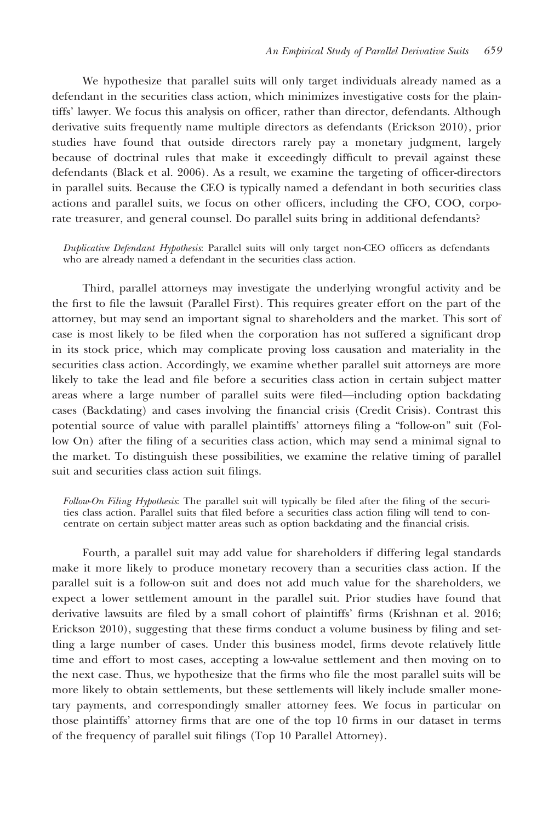We hypothesize that parallel suits will only target individuals already named as a defendant in the securities class action, which minimizes investigative costs for the plaintiffs' lawyer. We focus this analysis on officer, rather than director, defendants. Although derivative suits frequently name multiple directors as defendants (Erickson 2010), prior studies have found that outside directors rarely pay a monetary judgment, largely because of doctrinal rules that make it exceedingly difficult to prevail against these defendants (Black et al. 2006). As a result, we examine the targeting of officer-directors in parallel suits. Because the CEO is typically named a defendant in both securities class actions and parallel suits, we focus on other officers, including the CFO, COO, corporate treasurer, and general counsel. Do parallel suits bring in additional defendants?

Duplicative Defendant Hypothesis: Parallel suits will only target non-CEO officers as defendants who are already named a defendant in the securities class action.

Third, parallel attorneys may investigate the underlying wrongful activity and be the first to file the lawsuit (Parallel First). This requires greater effort on the part of the attorney, but may send an important signal to shareholders and the market. This sort of case is most likely to be filed when the corporation has not suffered a significant drop in its stock price, which may complicate proving loss causation and materiality in the securities class action. Accordingly, we examine whether parallel suit attorneys are more likely to take the lead and file before a securities class action in certain subject matter areas where a large number of parallel suits were filed—including option backdating cases (Backdating) and cases involving the financial crisis (Credit Crisis). Contrast this potential source of value with parallel plaintiffs' attorneys filing a "follow-on" suit (Follow On) after the filing of a securities class action, which may send a minimal signal to the market. To distinguish these possibilities, we examine the relative timing of parallel suit and securities class action suit filings.

Follow-On Filing Hypothesis: The parallel suit will typically be filed after the filing of the securities class action. Parallel suits that filed before a securities class action filing will tend to concentrate on certain subject matter areas such as option backdating and the financial crisis.

Fourth, a parallel suit may add value for shareholders if differing legal standards make it more likely to produce monetary recovery than a securities class action. If the parallel suit is a follow-on suit and does not add much value for the shareholders, we expect a lower settlement amount in the parallel suit. Prior studies have found that derivative lawsuits are filed by a small cohort of plaintiffs' firms (Krishnan et al. 2016; Erickson 2010), suggesting that these firms conduct a volume business by filing and settling a large number of cases. Under this business model, firms devote relatively little time and effort to most cases, accepting a low-value settlement and then moving on to the next case. Thus, we hypothesize that the firms who file the most parallel suits will be more likely to obtain settlements, but these settlements will likely include smaller monetary payments, and correspondingly smaller attorney fees. We focus in particular on those plaintiffs' attorney firms that are one of the top 10 firms in our dataset in terms of the frequency of parallel suit filings (Top 10 Parallel Attorney).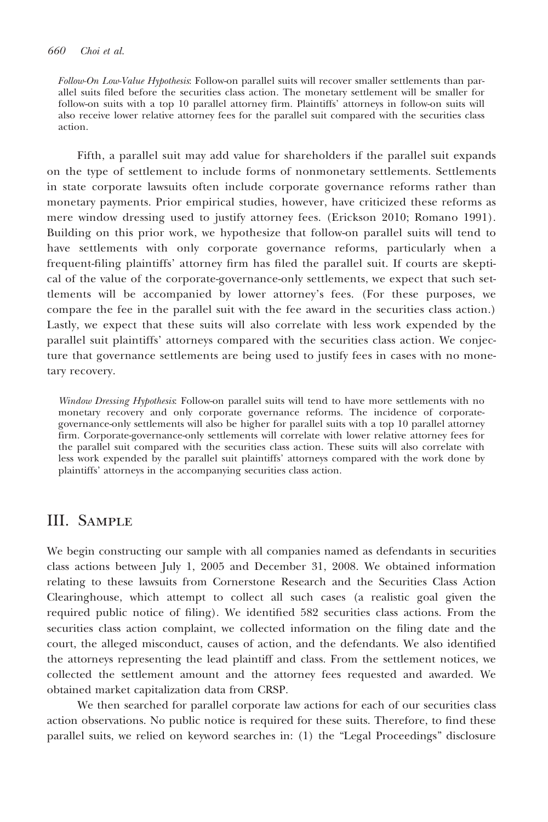Follow-On Low-Value Hypothesis: Follow-on parallel suits will recover smaller settlements than parallel suits filed before the securities class action. The monetary settlement will be smaller for follow-on suits with a top 10 parallel attorney firm. Plaintiffs' attorneys in follow-on suits will also receive lower relative attorney fees for the parallel suit compared with the securities class action.

Fifth, a parallel suit may add value for shareholders if the parallel suit expands on the type of settlement to include forms of nonmonetary settlements. Settlements in state corporate lawsuits often include corporate governance reforms rather than monetary payments. Prior empirical studies, however, have criticized these reforms as mere window dressing used to justify attorney fees. (Erickson 2010; Romano 1991). Building on this prior work, we hypothesize that follow-on parallel suits will tend to have settlements with only corporate governance reforms, particularly when a frequent-filing plaintiffs' attorney firm has filed the parallel suit. If courts are skeptical of the value of the corporate-governance-only settlements, we expect that such settlements will be accompanied by lower attorney's fees. (For these purposes, we compare the fee in the parallel suit with the fee award in the securities class action.) Lastly, we expect that these suits will also correlate with less work expended by the parallel suit plaintiffs' attorneys compared with the securities class action. We conjecture that governance settlements are being used to justify fees in cases with no monetary recovery.

Window Dressing Hypothesis: Follow-on parallel suits will tend to have more settlements with no monetary recovery and only corporate governance reforms. The incidence of corporategovernance-only settlements will also be higher for parallel suits with a top 10 parallel attorney firm. Corporate-governance-only settlements will correlate with lower relative attorney fees for the parallel suit compared with the securities class action. These suits will also correlate with less work expended by the parallel suit plaintiffs' attorneys compared with the work done by plaintiffs' attorneys in the accompanying securities class action.

# III. Sample

We begin constructing our sample with all companies named as defendants in securities class actions between July 1, 2005 and December 31, 2008. We obtained information relating to these lawsuits from Cornerstone Research and the Securities Class Action Clearinghouse, which attempt to collect all such cases (a realistic goal given the required public notice of filing). We identified 582 securities class actions. From the securities class action complaint, we collected information on the filing date and the court, the alleged misconduct, causes of action, and the defendants. We also identified the attorneys representing the lead plaintiff and class. From the settlement notices, we collected the settlement amount and the attorney fees requested and awarded. We obtained market capitalization data from CRSP.

We then searched for parallel corporate law actions for each of our securities class action observations. No public notice is required for these suits. Therefore, to find these parallel suits, we relied on keyword searches in: (1) the "Legal Proceedings" disclosure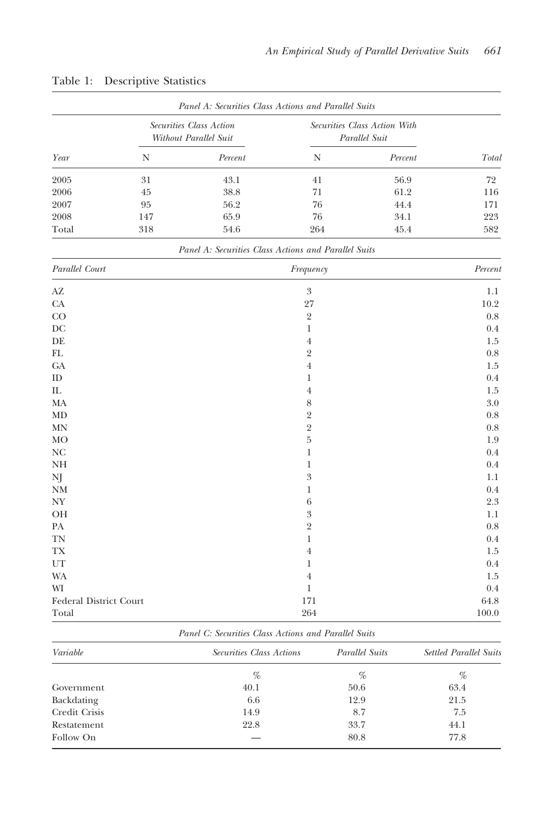|                        |     | Securities Class Action<br>Without Parallel Suit     |                | Securities Class Action With<br>Parallel Suit |         |
|------------------------|-----|------------------------------------------------------|----------------|-----------------------------------------------|---------|
| Year                   | N   | Percent                                              | N              | Percent                                       | Total   |
| 2005                   | 31  | 43.1                                                 | 41             | 56.9                                          | 72      |
| 2006                   | 45  | 38.8                                                 | 71             | 61.2                                          | 116     |
| 2007                   | 95  | 56.2                                                 | 76             | 44.4                                          | 171     |
| 2008                   | 147 | 65.9                                                 | 76             | 34.1                                          | 223     |
| Total                  | 318 | 54.6                                                 | 264            | 45.4                                          | 582     |
|                        |     | Panel A: Securities Class Actions and Parallel Suits |                |                                               |         |
| Parallel Court         |     |                                                      | Frequency      |                                               | Percent |
| AZ                     |     |                                                      | 3              |                                               | 1.1     |
| CA                     |     |                                                      | 27             |                                               | 10.2    |
| $_{\rm CO}$            |     |                                                      | $\overline{2}$ |                                               | 0.8     |
| DC                     |     |                                                      | 1              |                                               | 0.4     |
| DE                     |     |                                                      | $\overline{4}$ |                                               | 1.5     |
| FL                     |     |                                                      | $\overline{2}$ |                                               | 0.8     |
| <b>GA</b>              |     |                                                      | $\overline{4}$ |                                               | 1.5     |
| ID                     |     |                                                      | 1              |                                               | 0.4     |
| IL.                    |     |                                                      | $\overline{4}$ |                                               | 1.5     |
| MA                     |     |                                                      | 8              |                                               | 3.0     |
| MD                     |     |                                                      | $\overline{2}$ |                                               | 0.8     |
| MN                     |     |                                                      | $\overline{2}$ |                                               | 0.8     |
| MO                     |     |                                                      | 5              |                                               | 1.9     |
| NC                     |     |                                                      | 1              |                                               | 0.4     |
| NH                     |     |                                                      | 1              |                                               | 0.4     |
| NJ                     |     |                                                      | 3              |                                               | 1.1     |
| NM                     |     |                                                      | 1              |                                               | 0.4     |
| NY                     |     |                                                      | 6              |                                               | 2.3     |
| OH                     |     |                                                      | 3              |                                               | 1.1     |
| PA                     |     |                                                      | $\overline{2}$ |                                               | 0.8     |
| TN                     |     |                                                      | 1              |                                               | 0.4     |
| <b>TX</b>              |     |                                                      | $\overline{4}$ |                                               | 1.5     |
| UT                     |     |                                                      | 1              |                                               | 0.4     |
| <b>WA</b>              |     |                                                      | $\overline{4}$ |                                               | 1.5     |
| WI                     |     |                                                      | $\mathbf{1}$   |                                               | 0.4     |
| Federal District Court |     |                                                      | 171            |                                               | 64.8    |
| Total                  |     |                                                      | 264            |                                               | 100.0   |

## Table 1: Descriptive Statistics

|                      | T ALIBER VI. (MELIRIKRES VIRTIS) (VIRTINIS ALIBA T ALIBRARIA VIRTIS) |                       |                               |
|----------------------|----------------------------------------------------------------------|-----------------------|-------------------------------|
| Variable             | <i>Securities Class Actions</i>                                      | <b>Parallel Suits</b> | <b>Settled Parallel Suits</b> |
|                      | %                                                                    | %                     | %                             |
| Government           | 40.1                                                                 | 50.6                  | 63.4                          |
| Backdating           | 6.6                                                                  | 12.9                  | 21.5                          |
| <b>Credit Crisis</b> | 14.9                                                                 | 8.7                   | 7.5                           |
| Restatement          | 22.8                                                                 | 33.7                  | 44.1                          |
| Follow On            |                                                                      | 80.8                  | 77.8                          |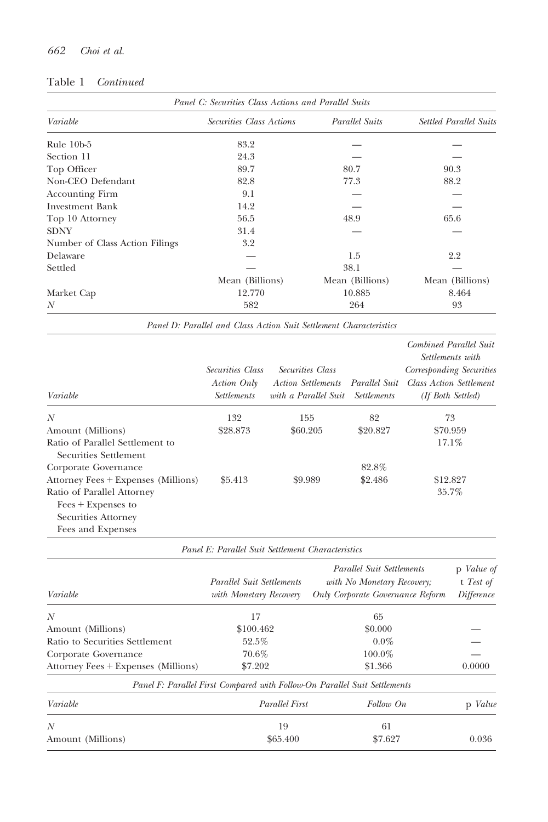### Table 1 Continued

|                                                                           | Panel C: Securities Class Actions and Parallel Suits               |                       |                                               |                                  |                                              |                                                          |
|---------------------------------------------------------------------------|--------------------------------------------------------------------|-----------------------|-----------------------------------------------|----------------------------------|----------------------------------------------|----------------------------------------------------------|
| Variable                                                                  | Securities Class Actions                                           |                       |                                               | <b>Parallel Suits</b>            |                                              | <b>Settled Parallel Suits</b>                            |
| Rule $10b-5$                                                              | 83.2                                                               |                       |                                               |                                  |                                              |                                                          |
| Section 11                                                                | 24.3                                                               |                       |                                               |                                  |                                              |                                                          |
| Top Officer                                                               | 89.7                                                               |                       |                                               | 80.7                             |                                              | 90.3                                                     |
| Non-CEO Defendant                                                         | 82.8                                                               |                       |                                               | 77.3                             |                                              | 88.2                                                     |
| <b>Accounting Firm</b>                                                    | 9.1                                                                |                       |                                               |                                  |                                              |                                                          |
| <b>Investment Bank</b>                                                    | 14.2                                                               |                       |                                               |                                  |                                              |                                                          |
| Top 10 Attorney                                                           | 56.5                                                               |                       |                                               | 48.9                             |                                              | 65.6                                                     |
| <b>SDNY</b>                                                               | 31.4                                                               |                       |                                               |                                  |                                              |                                                          |
| Number of Class Action Filings                                            | 3.2                                                                |                       |                                               |                                  |                                              |                                                          |
| Delaware                                                                  |                                                                    |                       |                                               | 1.5                              |                                              | 2.2                                                      |
| Settled                                                                   |                                                                    |                       |                                               | 38.1                             |                                              |                                                          |
|                                                                           | Mean (Billions)                                                    |                       |                                               | Mean (Billions)                  |                                              | Mean (Billions)                                          |
| Market Cap                                                                | 12.770                                                             |                       |                                               | 10.885                           |                                              | 8.464                                                    |
| Ν                                                                         | 582                                                                |                       |                                               | 264                              |                                              | 93                                                       |
|                                                                           | Panel D: Parallel and Class Action Suit Settlement Characteristics |                       |                                               |                                  |                                              |                                                          |
|                                                                           | Securities Class<br>Action Only                                    |                       | Securities Class<br><b>Action Settlements</b> | Parallel Suit                    | Settlements with<br>Corresponding Securities | Combined Parallel Suit<br><b>Class Action Settlement</b> |
| Variable                                                                  | <b>Settlements</b>                                                 |                       | with a Parallel Suit                          | <b>Settlements</b>               | (If Both Settled)                            |                                                          |
| N                                                                         | 132                                                                |                       | 155                                           | 82                               | 73                                           |                                                          |
| Amount (Millions)                                                         | \$28.873                                                           |                       | \$60.205                                      | \$20.827                         | \$70.959                                     |                                                          |
| Ratio of Parallel Settlement to                                           |                                                                    |                       |                                               |                                  | 17.1%                                        |                                                          |
| Securities Settlement                                                     |                                                                    |                       |                                               |                                  |                                              |                                                          |
| Corporate Governance                                                      |                                                                    |                       |                                               | 82.8%                            |                                              |                                                          |
| Attorney Fees + Expenses (Millions)                                       | \$5.413                                                            |                       | \$9.989                                       | \$2.486                          | \$12.827                                     |                                                          |
| Ratio of Parallel Attorney<br>$Fees + Expenses to$<br>Securities Attorney |                                                                    |                       |                                               |                                  | 35.7%                                        |                                                          |
| Fees and Expenses                                                         |                                                                    |                       |                                               |                                  |                                              |                                                          |
|                                                                           | Panel E: Parallel Suit Settlement Characteristics                  |                       |                                               |                                  |                                              |                                                          |
|                                                                           |                                                                    |                       |                                               | <b>Parallel Suit Settlements</b> |                                              | p Value of                                               |
|                                                                           | <b>Parallel Suit Settlements</b>                                   |                       |                                               | with No Monetary Recovery;       |                                              | $t$ Test of                                              |
| Variable                                                                  | with Monetary Recovery                                             |                       |                                               | Only Corporate Governance Reform |                                              | Difference                                               |
| N                                                                         | 17                                                                 |                       |                                               | 65                               |                                              |                                                          |
| Amount (Millions)                                                         | \$100.462                                                          |                       |                                               | \$0.000                          |                                              |                                                          |
| Ratio to Securities Settlement                                            | 52.5%                                                              |                       |                                               | $0.0\%$                          |                                              |                                                          |
| Corporate Governance                                                      | 70.6%                                                              |                       |                                               | 100.0%                           |                                              |                                                          |
| Attorney Fees + Expenses (Millions)                                       | \$7.202                                                            |                       |                                               | \$1.366                          |                                              | 0.0000                                                   |
| Panel F: Parallel First Compared with Follow-On Parallel Suit Settlements |                                                                    |                       |                                               |                                  |                                              |                                                          |
| Variable                                                                  |                                                                    | <b>Parallel First</b> |                                               | Follow On                        |                                              | p Value                                                  |

 $N$  and  $19$  61

Amount (Millions) \$65.400 \$7.627 0.036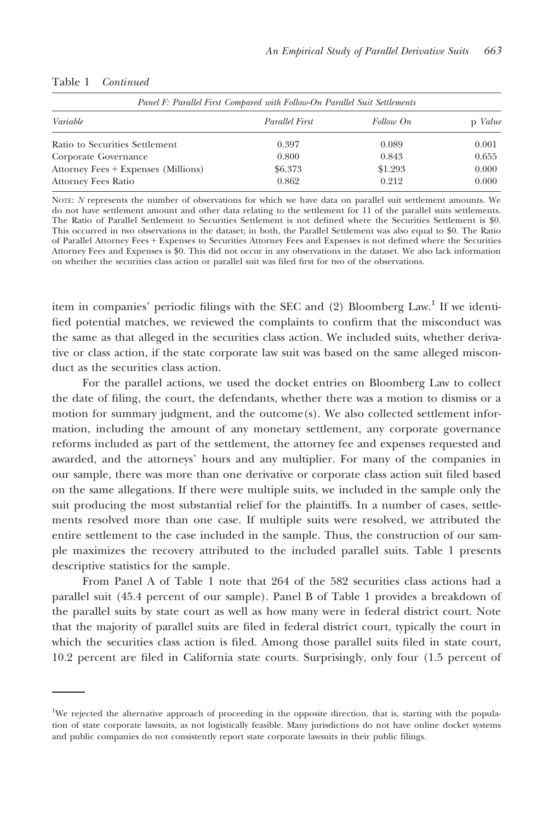|                                     | Panel F: Parallel First Compared with Follow-On Parallel Suit Settlements |           |         |
|-------------------------------------|---------------------------------------------------------------------------|-----------|---------|
| Variable                            | Parallel First                                                            | Follow On | p Value |
| Ratio to Securities Settlement      | 0.397                                                                     | 0.089     | 0.001   |
| Corporate Governance                | 0.800                                                                     | 0.843     | 0.655   |
| Attorney Fees + Expenses (Millions) | \$6.373                                                                   | \$1.293   | 0.000   |
| <b>Attorney Fees Ratio</b>          | 0.862                                                                     | 0.212     | 0.000   |

#### Table 1 Continued

NOTE: N represents the number of observations for which we have data on parallel suit settlement amounts. We do not have settlement amount and other data relating to the settlement for 11 of the parallel suits settlements. The Ratio of Parallel Settlement to Securities Settlement is not defined where the Securities Settlement is \$0. This occurred in two observations in the dataset; in both, the Parallel Settlement was also equal to \$0. The Ratio of Parallel Attorney Fees 1 Expenses to Securities Attorney Fees and Expenses is not defined where the Securities Attorney Fees and Expenses is \$0. This did not occur in any observations in the dataset. We also lack information on whether the securities class action or parallel suit was filed first for two of the observations.

item in companies' periodic filings with the SEC and (2) Bloomberg Law.<sup>1</sup> If we identified potential matches, we reviewed the complaints to confirm that the misconduct was the same as that alleged in the securities class action. We included suits, whether derivative or class action, if the state corporate law suit was based on the same alleged misconduct as the securities class action.

For the parallel actions, we used the docket entries on Bloomberg Law to collect the date of filing, the court, the defendants, whether there was a motion to dismiss or a motion for summary judgment, and the outcome $(s)$ . We also collected settlement information, including the amount of any monetary settlement, any corporate governance reforms included as part of the settlement, the attorney fee and expenses requested and awarded, and the attorneys' hours and any multiplier. For many of the companies in our sample, there was more than one derivative or corporate class action suit filed based on the same allegations. If there were multiple suits, we included in the sample only the suit producing the most substantial relief for the plaintiffs. In a number of cases, settlements resolved more than one case. If multiple suits were resolved, we attributed the entire settlement to the case included in the sample. Thus, the construction of our sample maximizes the recovery attributed to the included parallel suits. Table 1 presents descriptive statistics for the sample.

From Panel A of Table 1 note that 264 of the 582 securities class actions had a parallel suit (45.4 percent of our sample). Panel B of Table 1 provides a breakdown of the parallel suits by state court as well as how many were in federal district court. Note that the majority of parallel suits are filed in federal district court, typically the court in which the securities class action is filed. Among those parallel suits filed in state court, 10.2 percent are filed in California state courts. Surprisingly, only four (1.5 percent of

<sup>&</sup>lt;sup>1</sup>We rejected the alternative approach of proceeding in the opposite direction, that is, starting with the population of state corporate lawsuits, as not logistically feasible. Many jurisdictions do not have online docket systems and public companies do not consistently report state corporate lawsuits in their public filings.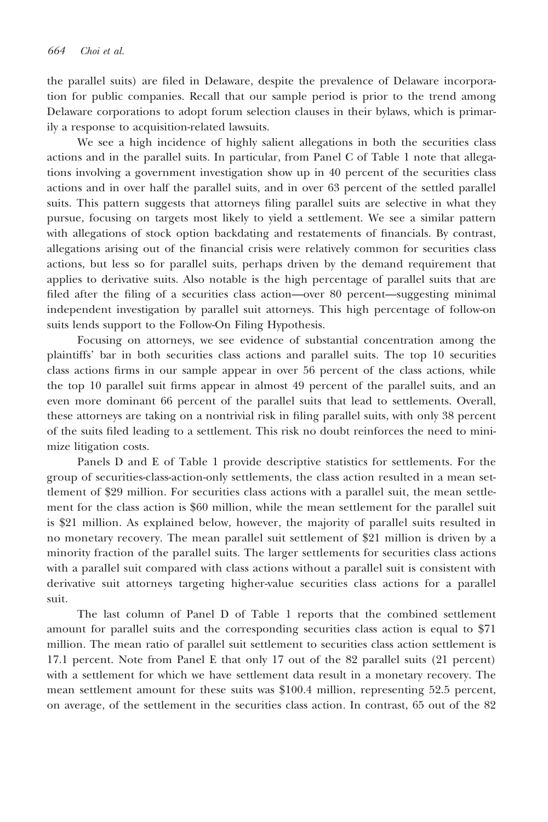the parallel suits) are filed in Delaware, despite the prevalence of Delaware incorporation for public companies. Recall that our sample period is prior to the trend among Delaware corporations to adopt forum selection clauses in their bylaws, which is primarily a response to acquisition-related lawsuits.

We see a high incidence of highly salient allegations in both the securities class actions and in the parallel suits. In particular, from Panel C of Table 1 note that allegations involving a government investigation show up in 40 percent of the securities class actions and in over half the parallel suits, and in over 63 percent of the settled parallel suits. This pattern suggests that attorneys filing parallel suits are selective in what they pursue, focusing on targets most likely to yield a settlement. We see a similar pattern with allegations of stock option backdating and restatements of financials. By contrast, allegations arising out of the financial crisis were relatively common for securities class actions, but less so for parallel suits, perhaps driven by the demand requirement that applies to derivative suits. Also notable is the high percentage of parallel suits that are filed after the filing of a securities class action—over 80 percent—suggesting minimal independent investigation by parallel suit attorneys. This high percentage of follow-on suits lends support to the Follow-On Filing Hypothesis.

Focusing on attorneys, we see evidence of substantial concentration among the plaintiffs' bar in both securities class actions and parallel suits. The top 10 securities class actions firms in our sample appear in over 56 percent of the class actions, while the top 10 parallel suit firms appear in almost 49 percent of the parallel suits, and an even more dominant 66 percent of the parallel suits that lead to settlements. Overall, these attorneys are taking on a nontrivial risk in filing parallel suits, with only 38 percent of the suits filed leading to a settlement. This risk no doubt reinforces the need to minimize litigation costs.

Panels D and E of Table 1 provide descriptive statistics for settlements. For the group of securities-class-action-only settlements, the class action resulted in a mean settlement of \$29 million. For securities class actions with a parallel suit, the mean settlement for the class action is \$60 million, while the mean settlement for the parallel suit is \$21 million. As explained below, however, the majority of parallel suits resulted in no monetary recovery. The mean parallel suit settlement of \$21 million is driven by a minority fraction of the parallel suits. The larger settlements for securities class actions with a parallel suit compared with class actions without a parallel suit is consistent with derivative suit attorneys targeting higher-value securities class actions for a parallel suit.

The last column of Panel D of Table 1 reports that the combined settlement amount for parallel suits and the corresponding securities class action is equal to \$71 million. The mean ratio of parallel suit settlement to securities class action settlement is 17.1 percent. Note from Panel E that only 17 out of the 82 parallel suits (21 percent) with a settlement for which we have settlement data result in a monetary recovery. The mean settlement amount for these suits was \$100.4 million, representing 52.5 percent, on average, of the settlement in the securities class action. In contrast, 65 out of the 82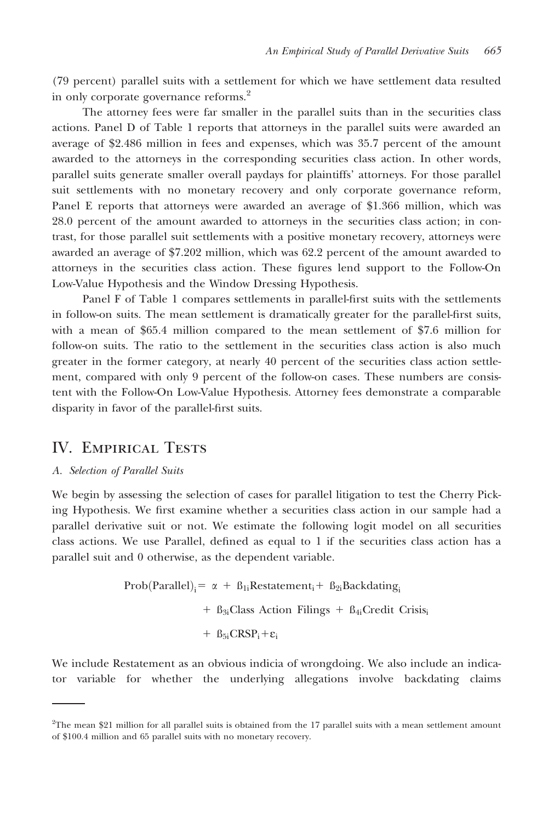(79 percent) parallel suits with a settlement for which we have settlement data resulted in only corporate governance reforms.<sup>2</sup>

The attorney fees were far smaller in the parallel suits than in the securities class actions. Panel D of Table 1 reports that attorneys in the parallel suits were awarded an average of \$2.486 million in fees and expenses, which was 35.7 percent of the amount awarded to the attorneys in the corresponding securities class action. In other words, parallel suits generate smaller overall paydays for plaintiffs' attorneys. For those parallel suit settlements with no monetary recovery and only corporate governance reform, Panel E reports that attorneys were awarded an average of \$1.366 million, which was 28.0 percent of the amount awarded to attorneys in the securities class action; in contrast, for those parallel suit settlements with a positive monetary recovery, attorneys were awarded an average of \$7.202 million, which was 62.2 percent of the amount awarded to attorneys in the securities class action. These figures lend support to the Follow-On Low-Value Hypothesis and the Window Dressing Hypothesis.

Panel F of Table 1 compares settlements in parallel-first suits with the settlements in follow-on suits. The mean settlement is dramatically greater for the parallel-first suits, with a mean of \$65.4 million compared to the mean settlement of \$7.6 million for follow-on suits. The ratio to the settlement in the securities class action is also much greater in the former category, at nearly 40 percent of the securities class action settlement, compared with only 9 percent of the follow-on cases. These numbers are consistent with the Follow-On Low-Value Hypothesis. Attorney fees demonstrate a comparable disparity in favor of the parallel-first suits.

# IV. EMPIRICAL TESTS

#### A. Selection of Parallel Suits

We begin by assessing the selection of cases for parallel litigation to test the Cherry Picking Hypothesis. We first examine whether a securities class action in our sample had a parallel derivative suit or not. We estimate the following logit model on all securities class actions. We use Parallel, defined as equal to 1 if the securities class action has a parallel suit and 0 otherwise, as the dependent variable.

> $Prob(Parallel)_i = \alpha + \beta_{1i}Restatement_i + \beta_{2i}Backdating_i$  $+$   $B_{3i}$ Class Action Filings  $+$   $B_{4i}$ Credit Crisis<sub>i</sub>  $+$  B<sub>5i</sub>CRSP<sub>i</sub>+ $\varepsilon$ <sub>i</sub>

We include Restatement as an obvious indicia of wrongdoing. We also include an indicator variable for whether the underlying allegations involve backdating claims

<sup>2</sup> The mean \$21 million for all parallel suits is obtained from the 17 parallel suits with a mean settlement amount of \$100.4 million and 65 parallel suits with no monetary recovery.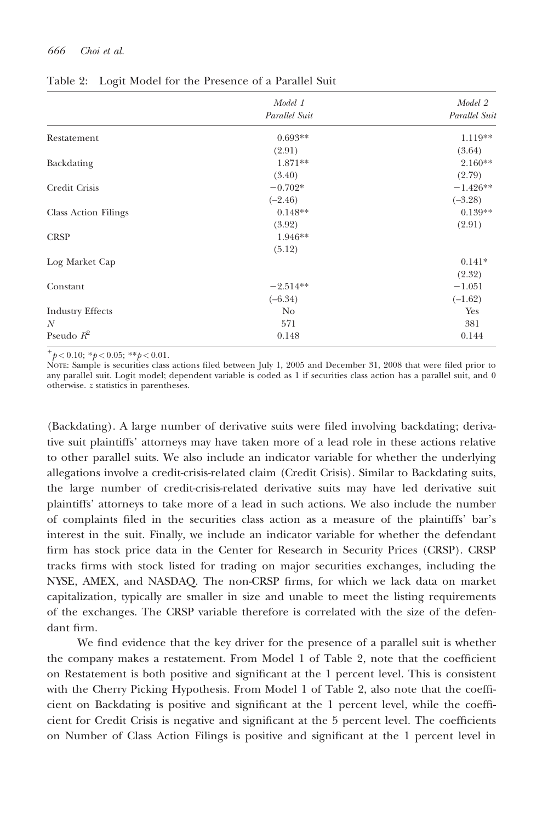#### 666 Choi et al.

|                             | Model 1       | Model 2       |
|-----------------------------|---------------|---------------|
|                             | Parallel Suit | Parallel Suit |
| Restatement                 | $0.693**$     | 1.119**       |
|                             | (2.91)        | (3.64)        |
| Backdating                  | $1.871**$     | $2.160**$     |
|                             | (3.40)        | (2.79)        |
| Credit Crisis               | $-0.702*$     | $-1.426**$    |
|                             | $(-2.46)$     | $(-3.28)$     |
| <b>Class Action Filings</b> | $0.148**$     | $0.139**$     |
|                             | (3.92)        | (2.91)        |
| <b>CRSP</b>                 | 1.946**       |               |
|                             | (5.12)        |               |
| Log Market Cap              |               | $0.141*$      |
|                             |               | (2.32)        |
| Constant                    | $-2.514**$    | $-1.051$      |
|                             | $(-6.34)$     | $(-1.62)$     |
| <b>Industry Effects</b>     | No            | Yes           |
| N                           | 571           | 381           |
| Pseudo $R^2$                | 0.148         | 0.144         |

Table 2: Logit Model for the Presence of a Parallel Suit

 $p < 0.10$ ; \* $p < 0.05$ ; \*\* $p < 0.01$ .

NOTE: Sample is securities class actions filed between July 1, 2005 and December 31, 2008 that were filed prior to any parallel suit. Logit model; dependent variable is coded as 1 if securities class action has a parallel suit, and 0 otherwise. z statistics in parentheses.

(Backdating). A large number of derivative suits were filed involving backdating; derivative suit plaintiffs' attorneys may have taken more of a lead role in these actions relative to other parallel suits. We also include an indicator variable for whether the underlying allegations involve a credit-crisis-related claim (Credit Crisis). Similar to Backdating suits, the large number of credit-crisis-related derivative suits may have led derivative suit plaintiffs' attorneys to take more of a lead in such actions. We also include the number of complaints filed in the securities class action as a measure of the plaintiffs' bar's interest in the suit. Finally, we include an indicator variable for whether the defendant firm has stock price data in the Center for Research in Security Prices (CRSP). CRSP tracks firms with stock listed for trading on major securities exchanges, including the NYSE, AMEX, and NASDAQ. The non-CRSP firms, for which we lack data on market capitalization, typically are smaller in size and unable to meet the listing requirements of the exchanges. The CRSP variable therefore is correlated with the size of the defendant firm.

We find evidence that the key driver for the presence of a parallel suit is whether the company makes a restatement. From Model 1 of Table 2, note that the coefficient on Restatement is both positive and significant at the 1 percent level. This is consistent with the Cherry Picking Hypothesis. From Model 1 of Table 2, also note that the coefficient on Backdating is positive and significant at the 1 percent level, while the coefficient for Credit Crisis is negative and significant at the 5 percent level. The coefficients on Number of Class Action Filings is positive and significant at the 1 percent level in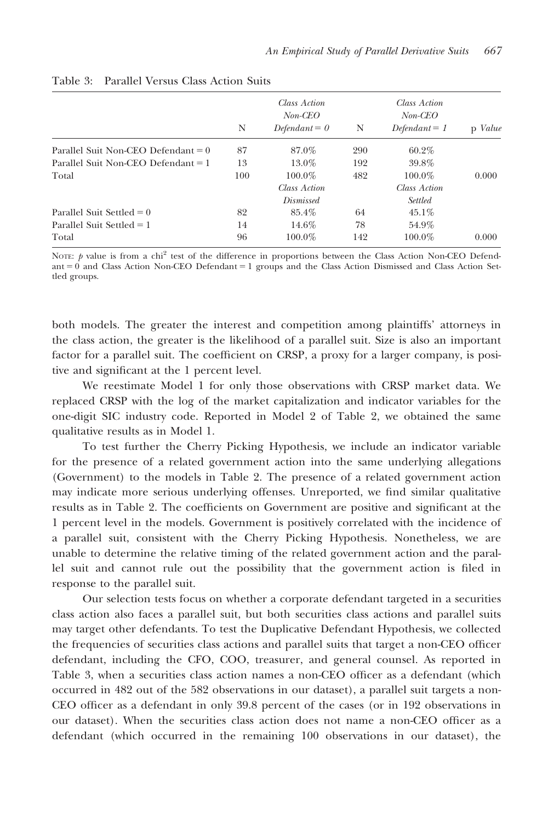|                                       | N   | <b>Class Action</b><br>$Non-CEO$<br>$Defendant = 0$ | N   | Class Action<br>Non-CEO<br>$Defendant = 1$ | p Value |
|---------------------------------------|-----|-----------------------------------------------------|-----|--------------------------------------------|---------|
| Parallel Suit Non-CEO Defendant $= 0$ | 87  | 87.0%                                               | 290 | $60.2\%$                                   |         |
| Parallel Suit Non-CEO Defendant $= 1$ | 13  | 13.0%                                               | 192 | 39.8%                                      |         |
| Total                                 | 100 | $100.0\%$                                           | 482 | $100.0\%$                                  | 0.000   |
|                                       |     | <b>Class Action</b>                                 |     | Class Action                               |         |
|                                       |     | Dismissed                                           |     | <b>Settled</b>                             |         |
| Parallel Suit Settled $= 0$           | 82  | 85.4%                                               | 64  | $45.1\%$                                   |         |
| Parallel Suit Settled $= 1$           | 14  | 14.6%                                               | 78  | 54.9%                                      |         |
| Total                                 | 96  | 100.0%                                              | 142 | 100.0%                                     | 0.000   |

Table 3: Parallel Versus Class Action Suits

NOTE: p value is from a chi<sup>2</sup> test of the difference in proportions between the Class Action Non-CEO Defendant  $= 0$  and Class Action Non-CEO Defendant  $= 1$  groups and the Class Action Dismissed and Class Action Settled groups.

both models. The greater the interest and competition among plaintiffs' attorneys in the class action, the greater is the likelihood of a parallel suit. Size is also an important factor for a parallel suit. The coefficient on CRSP, a proxy for a larger company, is positive and significant at the 1 percent level.

We reestimate Model 1 for only those observations with CRSP market data. We replaced CRSP with the log of the market capitalization and indicator variables for the one-digit SIC industry code. Reported in Model 2 of Table 2, we obtained the same qualitative results as in Model 1.

To test further the Cherry Picking Hypothesis, we include an indicator variable for the presence of a related government action into the same underlying allegations (Government) to the models in Table 2. The presence of a related government action may indicate more serious underlying offenses. Unreported, we find similar qualitative results as in Table 2. The coefficients on Government are positive and significant at the 1 percent level in the models. Government is positively correlated with the incidence of a parallel suit, consistent with the Cherry Picking Hypothesis. Nonetheless, we are unable to determine the relative timing of the related government action and the parallel suit and cannot rule out the possibility that the government action is filed in response to the parallel suit.

Our selection tests focus on whether a corporate defendant targeted in a securities class action also faces a parallel suit, but both securities class actions and parallel suits may target other defendants. To test the Duplicative Defendant Hypothesis, we collected the frequencies of securities class actions and parallel suits that target a non-CEO officer defendant, including the CFO, COO, treasurer, and general counsel. As reported in Table 3, when a securities class action names a non-CEO officer as a defendant (which occurred in 482 out of the 582 observations in our dataset), a parallel suit targets a non-CEO officer as a defendant in only 39.8 percent of the cases (or in 192 observations in our dataset). When the securities class action does not name a non-CEO officer as a defendant (which occurred in the remaining 100 observations in our dataset), the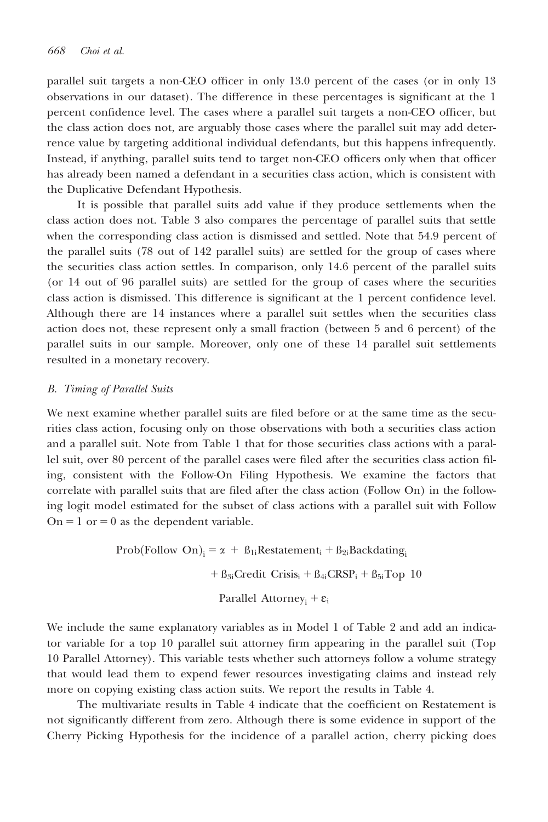parallel suit targets a non-CEO officer in only 13.0 percent of the cases (or in only 13 observations in our dataset). The difference in these percentages is significant at the 1 percent confidence level. The cases where a parallel suit targets a non-CEO officer, but the class action does not, are arguably those cases where the parallel suit may add deterrence value by targeting additional individual defendants, but this happens infrequently. Instead, if anything, parallel suits tend to target non-CEO officers only when that officer has already been named a defendant in a securities class action, which is consistent with the Duplicative Defendant Hypothesis.

It is possible that parallel suits add value if they produce settlements when the class action does not. Table 3 also compares the percentage of parallel suits that settle when the corresponding class action is dismissed and settled. Note that 54.9 percent of the parallel suits (78 out of 142 parallel suits) are settled for the group of cases where the securities class action settles. In comparison, only 14.6 percent of the parallel suits (or 14 out of 96 parallel suits) are settled for the group of cases where the securities class action is dismissed. This difference is significant at the 1 percent confidence level. Although there are 14 instances where a parallel suit settles when the securities class action does not, these represent only a small fraction (between 5 and 6 percent) of the parallel suits in our sample. Moreover, only one of these 14 parallel suit settlements resulted in a monetary recovery.

#### B. Timing of Parallel Suits

We next examine whether parallel suits are filed before or at the same time as the securities class action, focusing only on those observations with both a securities class action and a parallel suit. Note from Table 1 that for those securities class actions with a parallel suit, over 80 percent of the parallel cases were filed after the securities class action filing, consistent with the Follow-On Filing Hypothesis. We examine the factors that correlate with parallel suits that are filed after the class action (Follow On) in the following logit model estimated for the subset of class actions with a parallel suit with Follow  $On = 1$  or  $= 0$  as the dependent variable.

> Prob(Follow On)<sub>i</sub> =  $\alpha$  +  $\beta_{1i}$ Restatement<sub>i</sub> +  $\beta_{2i}$ Backdating<sub>i</sub>  $+$   $\beta_{3i}$ Credit Crisis<sub>i</sub> +  $\beta_{4i}$ CRSP<sub>i</sub> +  $\beta_{5i}$ Top 10 Parallel Attorney<sub>i</sub> +  $\varepsilon$ <sub>i</sub>

We include the same explanatory variables as in Model 1 of Table 2 and add an indicator variable for a top 10 parallel suit attorney firm appearing in the parallel suit (Top 10 Parallel Attorney). This variable tests whether such attorneys follow a volume strategy that would lead them to expend fewer resources investigating claims and instead rely more on copying existing class action suits. We report the results in Table 4.

The multivariate results in Table 4 indicate that the coefficient on Restatement is not significantly different from zero. Although there is some evidence in support of the Cherry Picking Hypothesis for the incidence of a parallel action, cherry picking does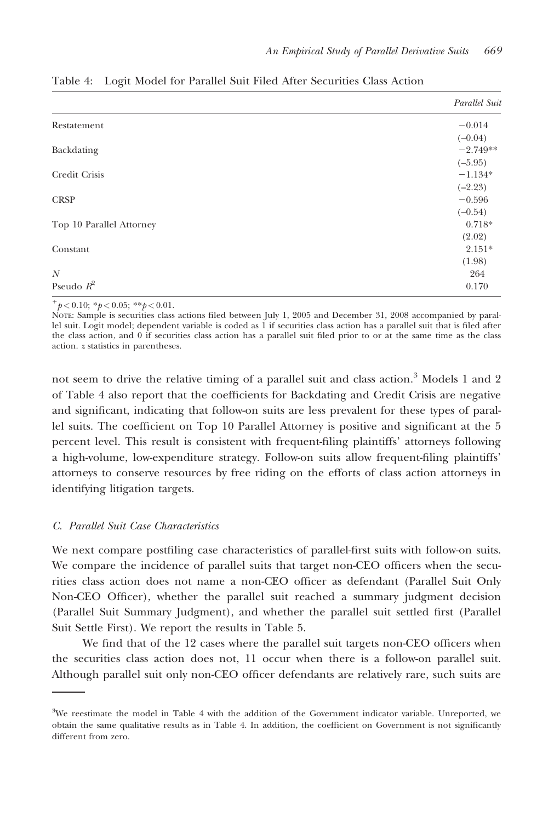|                          | Parallel Suit |
|--------------------------|---------------|
| Restatement              | $-0.014$      |
|                          | $(-0.04)$     |
| Backdating               | $-2.749**$    |
|                          | $(-5.95)$     |
| <b>Credit Crisis</b>     | $-1.134*$     |
|                          | $(-2.23)$     |
| <b>CRSP</b>              | $-0.596$      |
|                          | $(-0.54)$     |
| Top 10 Parallel Attorney | $0.718*$      |
|                          | (2.02)        |
| Constant                 | $2.151*$      |
|                          | (1.98)        |
| $\boldsymbol{N}$         | 264           |
| Pseudo $R^2$             | 0.170         |

Table 4: Logit Model for Parallel Suit Filed After Securities Class Action

 $^{+}p<0.10;$  \* $p<0.05;$  \*\* $p<0.01$ .

NOTE: Sample is securities class actions filed between July 1, 2005 and December 31, 2008 accompanied by parallel suit. Logit model; dependent variable is coded as 1 if securities class action has a parallel suit that is filed after the class action, and 0 if securities class action has a parallel suit filed prior to or at the same time as the class action. z statistics in parentheses.

not seem to drive the relative timing of a parallel suit and class action.<sup>3</sup> Models 1 and 2 of Table 4 also report that the coefficients for Backdating and Credit Crisis are negative and significant, indicating that follow-on suits are less prevalent for these types of parallel suits. The coefficient on Top 10 Parallel Attorney is positive and significant at the 5 percent level. This result is consistent with frequent-filing plaintiffs' attorneys following a high-volume, low-expenditure strategy. Follow-on suits allow frequent-filing plaintiffs' attorneys to conserve resources by free riding on the efforts of class action attorneys in identifying litigation targets.

### C. Parallel Suit Case Characteristics

We next compare postfiling case characteristics of parallel-first suits with follow-on suits. We compare the incidence of parallel suits that target non-CEO officers when the securities class action does not name a non-CEO officer as defendant (Parallel Suit Only Non-CEO Officer), whether the parallel suit reached a summary judgment decision (Parallel Suit Summary Judgment), and whether the parallel suit settled first (Parallel Suit Settle First). We report the results in Table 5.

We find that of the 12 cases where the parallel suit targets non-CEO officers when the securities class action does not, 11 occur when there is a follow-on parallel suit. Although parallel suit only non-CEO officer defendants are relatively rare, such suits are

<sup>3</sup> We reestimate the model in Table 4 with the addition of the Government indicator variable. Unreported, we obtain the same qualitative results as in Table 4. In addition, the coefficient on Government is not significantly different from zero.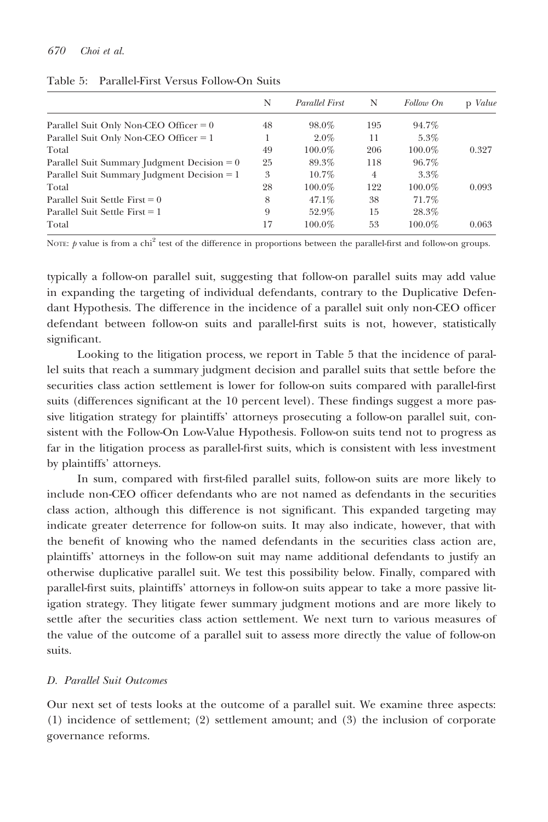|                                               | N  | Parallel First | N              | Follow On | p <i>Value</i> |
|-----------------------------------------------|----|----------------|----------------|-----------|----------------|
| Parallel Suit Only Non-CEO Officer $= 0$      | 48 | 98.0%          | 195            | 94.7%     |                |
| Parallel Suit Only Non-CEO Officer $= 1$      |    | $2.0\%$        | 11             | $5.3\%$   |                |
| Total                                         | 49 | $100.0\%$      | 206            | $100.0\%$ | 0.327          |
| Parallel Suit Summary Judgment Decision $= 0$ | 25 | 89.3%          | 118            | 96.7%     |                |
| Parallel Suit Summary Judgment Decision $= 1$ | 3  | 10.7%          | $\overline{4}$ | 3.3%      |                |
| Total                                         | 28 | 100.0%         | 122            | 100.0%    | 0.093          |
| Parallel Suit Settle First $= 0$              | 8  | $47.1\%$       | 38             | 71.7%     |                |
| Parallel Suit Settle First $= 1$              | 9  | 52.9%          | 15             | 28.3%     |                |
| Total                                         | 17 | $100.0\%$      | 53             | $100.0\%$ | 0.063          |
|                                               |    |                |                |           |                |

Table 5: Parallel-First Versus Follow-On Suits

NOTE:  $p$  value is from a chi<sup>2</sup> test of the difference in proportions between the parallel-first and follow-on groups.

typically a follow-on parallel suit, suggesting that follow-on parallel suits may add value in expanding the targeting of individual defendants, contrary to the Duplicative Defendant Hypothesis. The difference in the incidence of a parallel suit only non-CEO officer defendant between follow-on suits and parallel-first suits is not, however, statistically significant.

Looking to the litigation process, we report in Table 5 that the incidence of parallel suits that reach a summary judgment decision and parallel suits that settle before the securities class action settlement is lower for follow-on suits compared with parallel-first suits (differences significant at the 10 percent level). These findings suggest a more passive litigation strategy for plaintiffs' attorneys prosecuting a follow-on parallel suit, consistent with the Follow-On Low-Value Hypothesis. Follow-on suits tend not to progress as far in the litigation process as parallel-first suits, which is consistent with less investment by plaintiffs' attorneys.

In sum, compared with first-filed parallel suits, follow-on suits are more likely to include non-CEO officer defendants who are not named as defendants in the securities class action, although this difference is not significant. This expanded targeting may indicate greater deterrence for follow-on suits. It may also indicate, however, that with the benefit of knowing who the named defendants in the securities class action are, plaintiffs' attorneys in the follow-on suit may name additional defendants to justify an otherwise duplicative parallel suit. We test this possibility below. Finally, compared with parallel-first suits, plaintiffs' attorneys in follow-on suits appear to take a more passive litigation strategy. They litigate fewer summary judgment motions and are more likely to settle after the securities class action settlement. We next turn to various measures of the value of the outcome of a parallel suit to assess more directly the value of follow-on suits.

#### D. Parallel Suit Outcomes

Our next set of tests looks at the outcome of a parallel suit. We examine three aspects: (1) incidence of settlement; (2) settlement amount; and (3) the inclusion of corporate governance reforms.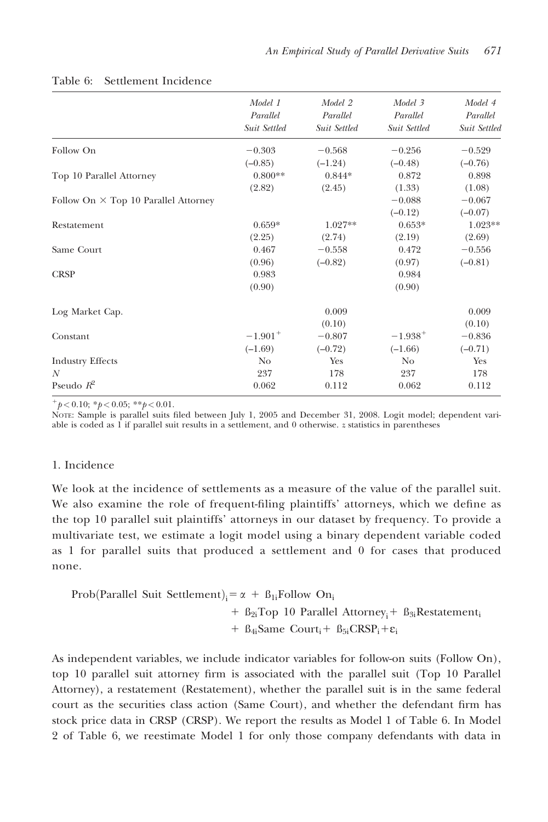|                                             | Model 1<br>Parallel   | Model 2<br>Parallel | Model 3<br>Parallel | Model 4<br>Parallel |
|---------------------------------------------|-----------------------|---------------------|---------------------|---------------------|
|                                             |                       |                     |                     |                     |
|                                             | <b>Suit Settled</b>   | <b>Suit Settled</b> | <b>Suit Settled</b> | <b>Suit Settled</b> |
| Follow On                                   | $-0.303$              | $-0.568$            | $-0.256$            | $-0.529$            |
|                                             | $(-0.85)$             | $(-1.24)$           | $(-0.48)$           | $(-0.76)$           |
| Top 10 Parallel Attorney                    | $0.800**$             | $0.844*$            | 0.872               | 0.898               |
|                                             | (2.82)                | (2.45)              | (1.33)              | (1.08)              |
| Follow On $\times$ Top 10 Parallel Attorney |                       |                     | $-0.088$            | $-0.067$            |
|                                             |                       |                     | $(-0.12)$           | $(-0.07)$           |
| Restatement                                 | $0.659*$              | $1.027**$           | $0.653*$            | $1.023**$           |
|                                             | (2.25)                | (2.74)              | (2.19)              | (2.69)              |
| Same Court                                  | 0.467                 | $-0.558$            | 0.472               | $-0.556$            |
|                                             | (0.96)                | $(-0.82)$           | (0.97)              | $(-0.81)$           |
| <b>CRSP</b>                                 | 0.983                 |                     | 0.984               |                     |
|                                             | (0.90)                |                     | (0.90)              |                     |
| Log Market Cap.                             |                       | 0.009               |                     | 0.009               |
|                                             |                       | (0.10)              |                     | (0.10)              |
| Constant                                    | $-1.901$ <sup>+</sup> | $-0.807$            | $-1.938^{+}$        | $-0.836$            |
|                                             | $(-1.69)$             | $(-0.72)$           | $(-1.66)$           | $(-0.71)$           |
| <b>Industry Effects</b>                     | N <sub>o</sub>        | Yes                 | N <sub>o</sub>      | Yes                 |
| N                                           | 237                   | 178                 | 237                 | 178                 |
| Pseudo $R^2$                                | 0.062                 | 0.112               | 0.062               | 0.112               |
|                                             |                       |                     |                     |                     |

### Table 6: Settlement Incidence

 $^{+}p < 0.10$ ; \* $p < 0.05$ ; \*\* $p < 0.01$ .

NOTE: Sample is parallel suits filed between July 1, 2005 and December 31, 2008. Logit model; dependent variable is coded as 1 if parallel suit results in a settlement, and 0 otherwise. z statistics in parentheses

#### 1. Incidence

We look at the incidence of settlements as a measure of the value of the parallel suit. We also examine the role of frequent-filing plaintiffs' attorneys, which we define as the top 10 parallel suit plaintiffs' attorneys in our dataset by frequency. To provide a multivariate test, we estimate a logit model using a binary dependent variable coded as 1 for parallel suits that produced a settlement and 0 for cases that produced none.

$$
\begin{aligned}[c] \text{Prob}(\text{Parallel Suit Setlement})_i & = \alpha \; + \; \beta_{1i}\text{Follow On}_i \\ & \; + \; \beta_{2i}\text{Top 10 Parallel Attorney}_i + \; \beta_{3i}\text{Restatement}_i \\ & \; + \; \beta_{4i}\text{Same Court}_i + \; \beta_{5i}\text{CRSP}_i + \epsilon_i \end{aligned}
$$

As independent variables, we include indicator variables for follow-on suits (Follow On), top 10 parallel suit attorney firm is associated with the parallel suit (Top 10 Parallel Attorney), a restatement (Restatement), whether the parallel suit is in the same federal court as the securities class action (Same Court), and whether the defendant firm has stock price data in CRSP (CRSP). We report the results as Model 1 of Table 6. In Model 2 of Table 6, we reestimate Model 1 for only those company defendants with data in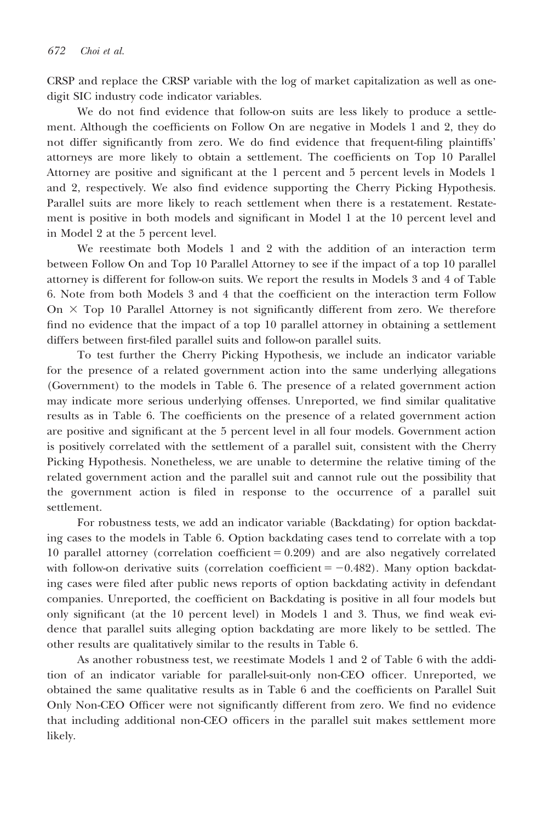CRSP and replace the CRSP variable with the log of market capitalization as well as onedigit SIC industry code indicator variables.

We do not find evidence that follow-on suits are less likely to produce a settlement. Although the coefficients on Follow On are negative in Models 1 and 2, they do not differ significantly from zero. We do find evidence that frequent-filing plaintiffs' attorneys are more likely to obtain a settlement. The coefficients on Top 10 Parallel Attorney are positive and significant at the 1 percent and 5 percent levels in Models 1 and 2, respectively. We also find evidence supporting the Cherry Picking Hypothesis. Parallel suits are more likely to reach settlement when there is a restatement. Restatement is positive in both models and significant in Model 1 at the 10 percent level and in Model 2 at the 5 percent level.

We reestimate both Models 1 and 2 with the addition of an interaction term between Follow On and Top 10 Parallel Attorney to see if the impact of a top 10 parallel attorney is different for follow-on suits. We report the results in Models 3 and 4 of Table 6. Note from both Models 3 and 4 that the coefficient on the interaction term Follow On  $\times$  Top 10 Parallel Attorney is not significantly different from zero. We therefore find no evidence that the impact of a top 10 parallel attorney in obtaining a settlement differs between first-filed parallel suits and follow-on parallel suits.

To test further the Cherry Picking Hypothesis, we include an indicator variable for the presence of a related government action into the same underlying allegations (Government) to the models in Table 6. The presence of a related government action may indicate more serious underlying offenses. Unreported, we find similar qualitative results as in Table 6. The coefficients on the presence of a related government action are positive and significant at the 5 percent level in all four models. Government action is positively correlated with the settlement of a parallel suit, consistent with the Cherry Picking Hypothesis. Nonetheless, we are unable to determine the relative timing of the related government action and the parallel suit and cannot rule out the possibility that the government action is filed in response to the occurrence of a parallel suit settlement.

For robustness tests, we add an indicator variable (Backdating) for option backdating cases to the models in Table 6. Option backdating cases tend to correlate with a top 10 parallel attorney (correlation coefficient  $= 0.209$ ) and are also negatively correlated with follow-on derivative suits (correlation coefficient  $= -0.482$ ). Many option backdating cases were filed after public news reports of option backdating activity in defendant companies. Unreported, the coefficient on Backdating is positive in all four models but only significant (at the 10 percent level) in Models 1 and 3. Thus, we find weak evidence that parallel suits alleging option backdating are more likely to be settled. The other results are qualitatively similar to the results in Table 6.

As another robustness test, we reestimate Models 1 and 2 of Table 6 with the addition of an indicator variable for parallel-suit-only non-CEO officer. Unreported, we obtained the same qualitative results as in Table 6 and the coefficients on Parallel Suit Only Non-CEO Officer were not significantly different from zero. We find no evidence that including additional non-CEO officers in the parallel suit makes settlement more likely.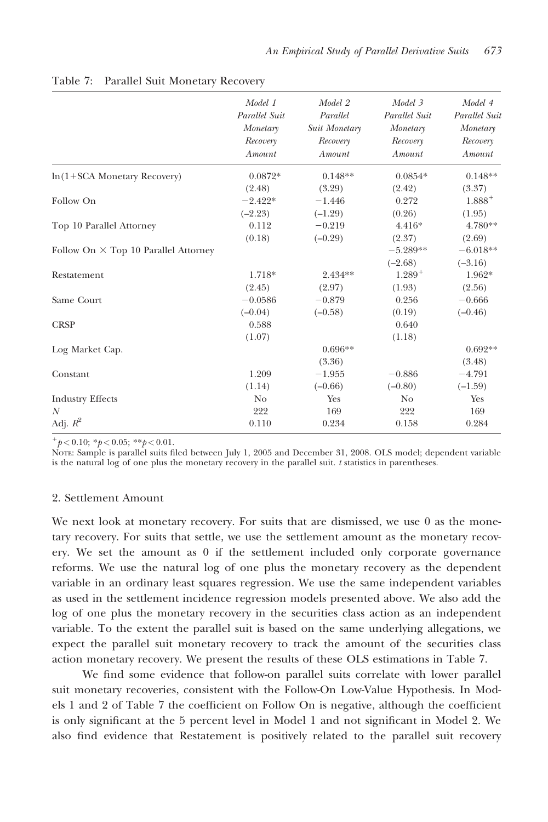|                                             | Model 1       | Model 2       | Model 3       | Model 4       |
|---------------------------------------------|---------------|---------------|---------------|---------------|
|                                             | Parallel Suit | Parallel      | Parallel Suit | Parallel Suit |
|                                             | Monetary      | Suit Monetary | Monetary      | Monetary      |
|                                             | Recovery      | Recovery      | Recovery      | Recovery      |
|                                             | Amount        | $A$ mount     | Amount        | Amount        |
| $ln(1+SCA$ Monetary Recovery)               | $0.0872*$     | $0.148**$     | $0.0854*$     | $0.148**$     |
|                                             | (2.48)        | (3.29)        | (2.42)        | (3.37)        |
| Follow On                                   | $-2.422*$     | $-1.446$      | 0.272         | $1.888^{+}$   |
|                                             | $(-2.23)$     | $(-1.29)$     | (0.26)        | (1.95)        |
| Top 10 Parallel Attorney                    | 0.112         | $-0.219$      | $4.416*$      | 4.780**       |
|                                             | (0.18)        | $(-0.29)$     | (2.37)        | (2.69)        |
| Follow On $\times$ Top 10 Parallel Attorney |               |               | $-5.289**$    | $-6.018**$    |
|                                             |               |               | $(-2.68)$     | $(-3.16)$     |
| Restatement                                 | 1.718*        | $2.434**$     | $1.289 +$     | 1.962*        |
|                                             | (2.45)        | (2.97)        | (1.93)        | (2.56)        |
| Same Court                                  | $-0.0586$     | $-0.879$      | 0.256         | $-0.666$      |
|                                             | $(-0.04)$     | $(-0.58)$     | (0.19)        | $(-0.46)$     |
| <b>CRSP</b>                                 | 0.588         |               | 0.640         |               |
|                                             | (1.07)        |               | (1.18)        |               |
| Log Market Cap.                             |               | $0.696**$     |               | $0.692**$     |
|                                             |               | (3.36)        |               | (3.48)        |
| Constant                                    | 1.209         | $-1.955$      | $-0.886$      | $-4.791$      |
|                                             | (1.14)        | $(-0.66)$     | $(-0.80)$     | $(-1.59)$     |
| <b>Industry Effects</b>                     | No            | Yes           | No            | Yes           |
| $\boldsymbol{N}$                            | 222           | 169           | 222           | 169           |
| Adj. $R^2$                                  | 0.110         | 0.234         | 0.158         | 0.284         |

Table 7: Parallel Suit Monetary Recovery

 $^{+}p<0.10;$  \* $p<0.05;$  \*\* $p<0.01$ .

NOTE: Sample is parallel suits filed between July 1, 2005 and December 31, 2008. OLS model; dependent variable is the natural log of one plus the monetary recovery in the parallel suit.  $t$  statistics in parentheses.

#### 2. Settlement Amount

We next look at monetary recovery. For suits that are dismissed, we use 0 as the monetary recovery. For suits that settle, we use the settlement amount as the monetary recovery. We set the amount as 0 if the settlement included only corporate governance reforms. We use the natural log of one plus the monetary recovery as the dependent variable in an ordinary least squares regression. We use the same independent variables as used in the settlement incidence regression models presented above. We also add the log of one plus the monetary recovery in the securities class action as an independent variable. To the extent the parallel suit is based on the same underlying allegations, we expect the parallel suit monetary recovery to track the amount of the securities class action monetary recovery. We present the results of these OLS estimations in Table 7.

We find some evidence that follow-on parallel suits correlate with lower parallel suit monetary recoveries, consistent with the Follow-On Low-Value Hypothesis. In Models 1 and 2 of Table 7 the coefficient on Follow On is negative, although the coefficient is only significant at the 5 percent level in Model 1 and not significant in Model 2. We also find evidence that Restatement is positively related to the parallel suit recovery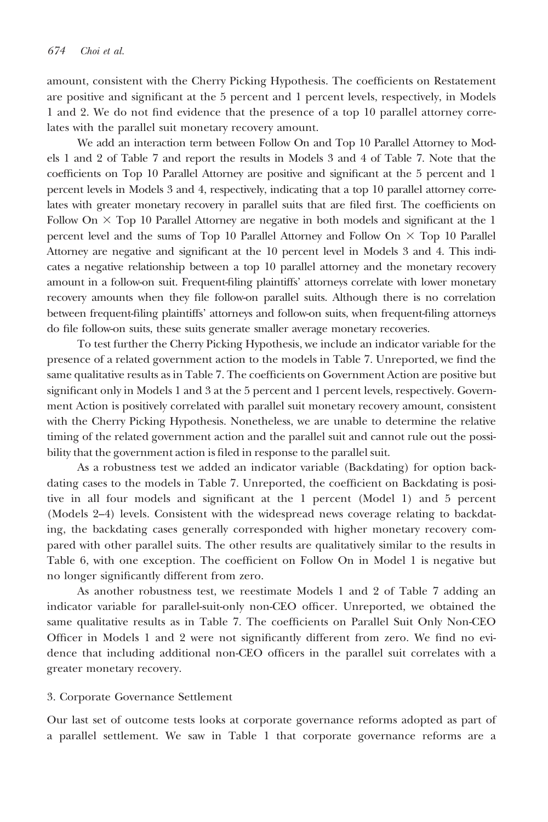amount, consistent with the Cherry Picking Hypothesis. The coefficients on Restatement are positive and significant at the 5 percent and 1 percent levels, respectively, in Models 1 and 2. We do not find evidence that the presence of a top 10 parallel attorney correlates with the parallel suit monetary recovery amount.

We add an interaction term between Follow On and Top 10 Parallel Attorney to Models 1 and 2 of Table 7 and report the results in Models 3 and 4 of Table 7. Note that the coefficients on Top 10 Parallel Attorney are positive and significant at the 5 percent and 1 percent levels in Models 3 and 4, respectively, indicating that a top 10 parallel attorney correlates with greater monetary recovery in parallel suits that are filed first. The coefficients on Follow On  $\times$  Top 10 Parallel Attorney are negative in both models and significant at the 1 percent level and the sums of Top 10 Parallel Attorney and Follow On  $\times$  Top 10 Parallel Attorney are negative and significant at the 10 percent level in Models 3 and 4. This indicates a negative relationship between a top 10 parallel attorney and the monetary recovery amount in a follow-on suit. Frequent-filing plaintiffs' attorneys correlate with lower monetary recovery amounts when they file follow-on parallel suits. Although there is no correlation between frequent-filing plaintiffs' attorneys and follow-on suits, when frequent-filing attorneys do file follow-on suits, these suits generate smaller average monetary recoveries.

To test further the Cherry Picking Hypothesis, we include an indicator variable for the presence of a related government action to the models in Table 7. Unreported, we find the same qualitative results as in Table 7. The coefficients on Government Action are positive but significant only in Models 1 and 3 at the 5 percent and 1 percent levels, respectively. Government Action is positively correlated with parallel suit monetary recovery amount, consistent with the Cherry Picking Hypothesis. Nonetheless, we are unable to determine the relative timing of the related government action and the parallel suit and cannot rule out the possibility that the government action is filed in response to the parallel suit.

As a robustness test we added an indicator variable (Backdating) for option backdating cases to the models in Table 7. Unreported, the coefficient on Backdating is positive in all four models and significant at the 1 percent (Model 1) and 5 percent (Models 2–4) levels. Consistent with the widespread news coverage relating to backdating, the backdating cases generally corresponded with higher monetary recovery compared with other parallel suits. The other results are qualitatively similar to the results in Table 6, with one exception. The coefficient on Follow On in Model 1 is negative but no longer significantly different from zero.

As another robustness test, we reestimate Models 1 and 2 of Table 7 adding an indicator variable for parallel-suit-only non-CEO officer. Unreported, we obtained the same qualitative results as in Table 7. The coefficients on Parallel Suit Only Non-CEO Officer in Models 1 and 2 were not significantly different from zero. We find no evidence that including additional non-CEO officers in the parallel suit correlates with a greater monetary recovery.

#### 3. Corporate Governance Settlement

Our last set of outcome tests looks at corporate governance reforms adopted as part of a parallel settlement. We saw in Table 1 that corporate governance reforms are a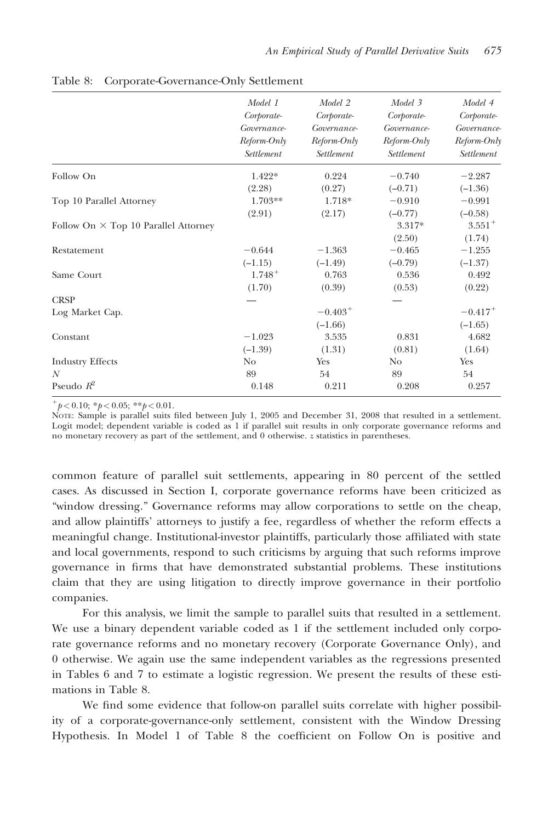|                                             | Model 1        | Model 2           | Model 3        | Model 4              |
|---------------------------------------------|----------------|-------------------|----------------|----------------------|
|                                             | Corporate-     | Corporate-        | Corporate-     | Corporate-           |
|                                             | Governance-    | Governance-       | Governance-    | Governance-          |
|                                             | Reform-Only    | $Reform-Only$     | Reform-Only    | Reform-Only          |
|                                             | Settlement     | <b>Settlement</b> | Settlement     | <b>Settlement</b>    |
| Follow On                                   | 1.422*         | 0.224             | $-0.740$       | $-2.287$             |
|                                             | (2.28)         | (0.27)            | $(-0.71)$      | $(-1.36)$            |
| Top 10 Parallel Attorney                    | 1.703**        | 1.718*            | $-0.910$       | $-0.991$             |
|                                             | (2.91)         | (2.17)            | $(-0.77)$      | $(-0.58)$            |
| Follow On $\times$ Top 10 Parallel Attorney |                |                   | $3.317*$       | $3.551$ <sup>+</sup> |
|                                             |                |                   | (2.50)         | (1.74)               |
| Restatement                                 | $-0.644$       | $-1.363$          | $-0.465$       | $-1.255$             |
|                                             | $(-1.15)$      | $(-1.49)$         | $(-0.79)$      | $(-1.37)$            |
| Same Court                                  | $1.748^{+}$    | 0.763             | 0.536          | 0.492                |
|                                             | (1.70)         | (0.39)            | (0.53)         | (0.22)               |
| <b>CRSP</b>                                 |                |                   |                |                      |
| Log Market Cap.                             |                | $-0.403^{+}$      |                | $-0.417^{+}$         |
|                                             |                | $(-1.66)$         |                | $(-1.65)$            |
| Constant                                    | $-1.023$       | 3.535             | 0.831          | 4.682                |
|                                             | $(-1.39)$      | (1.31)            | (0.81)         | (1.64)               |
| <b>Industry Effects</b>                     | N <sub>o</sub> | Yes               | N <sub>o</sub> | Yes                  |
| N                                           | 89             | 54                | 89             | 54                   |
| Pseudo $R^2$                                | 0.148          | 0.211             | 0.208          | 0.257                |
|                                             |                |                   |                |                      |

Table 8: Corporate-Governance-Only Settlement

 $^{+}p < 0.10;$  \* $p < 0.05;$  \*\* $p < 0.01$ .

NOTE: Sample is parallel suits filed between July 1, 2005 and December 31, 2008 that resulted in a settlement. Logit model; dependent variable is coded as 1 if parallel suit results in only corporate governance reforms and no monetary recovery as part of the settlement, and 0 otherwise. z statistics in parentheses.

common feature of parallel suit settlements, appearing in 80 percent of the settled cases. As discussed in Section I, corporate governance reforms have been criticized as "window dressing." Governance reforms may allow corporations to settle on the cheap, and allow plaintiffs' attorneys to justify a fee, regardless of whether the reform effects a meaningful change. Institutional-investor plaintiffs, particularly those affiliated with state and local governments, respond to such criticisms by arguing that such reforms improve governance in firms that have demonstrated substantial problems. These institutions claim that they are using litigation to directly improve governance in their portfolio companies.

For this analysis, we limit the sample to parallel suits that resulted in a settlement. We use a binary dependent variable coded as 1 if the settlement included only corporate governance reforms and no monetary recovery (Corporate Governance Only), and 0 otherwise. We again use the same independent variables as the regressions presented in Tables 6 and 7 to estimate a logistic regression. We present the results of these estimations in Table 8.

We find some evidence that follow-on parallel suits correlate with higher possibility of a corporate-governance-only settlement, consistent with the Window Dressing Hypothesis. In Model 1 of Table 8 the coefficient on Follow On is positive and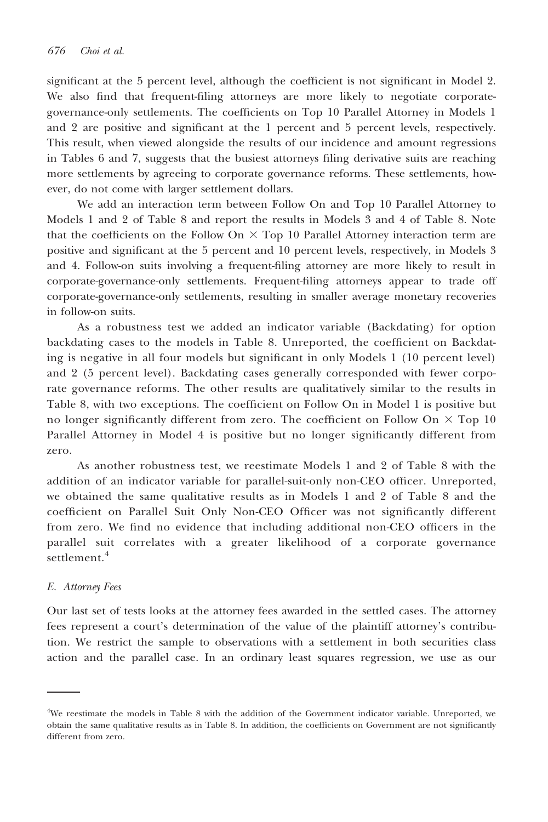significant at the 5 percent level, although the coefficient is not significant in Model 2. We also find that frequent-filing attorneys are more likely to negotiate corporategovernance-only settlements. The coefficients on Top 10 Parallel Attorney in Models 1 and 2 are positive and significant at the 1 percent and 5 percent levels, respectively. This result, when viewed alongside the results of our incidence and amount regressions in Tables 6 and 7, suggests that the busiest attorneys filing derivative suits are reaching more settlements by agreeing to corporate governance reforms. These settlements, however, do not come with larger settlement dollars.

We add an interaction term between Follow On and Top 10 Parallel Attorney to Models 1 and 2 of Table 8 and report the results in Models 3 and 4 of Table 8. Note that the coefficients on the Follow On  $\times$  Top 10 Parallel Attorney interaction term are positive and significant at the 5 percent and 10 percent levels, respectively, in Models 3 and 4. Follow-on suits involving a frequent-filing attorney are more likely to result in corporate-governance-only settlements. Frequent-filing attorneys appear to trade off corporate-governance-only settlements, resulting in smaller average monetary recoveries in follow-on suits.

As a robustness test we added an indicator variable (Backdating) for option backdating cases to the models in Table 8. Unreported, the coefficient on Backdating is negative in all four models but significant in only Models 1 (10 percent level) and 2 (5 percent level). Backdating cases generally corresponded with fewer corporate governance reforms. The other results are qualitatively similar to the results in Table 8, with two exceptions. The coefficient on Follow On in Model 1 is positive but no longer significantly different from zero. The coefficient on Follow On  $\times$  Top 10 Parallel Attorney in Model 4 is positive but no longer significantly different from zero.

As another robustness test, we reestimate Models 1 and 2 of Table 8 with the addition of an indicator variable for parallel-suit-only non-CEO officer. Unreported, we obtained the same qualitative results as in Models 1 and 2 of Table 8 and the coefficient on Parallel Suit Only Non-CEO Officer was not significantly different from zero. We find no evidence that including additional non-CEO officers in the parallel suit correlates with a greater likelihood of a corporate governance settlement.<sup>4</sup>

#### E. Attorney Fees

Our last set of tests looks at the attorney fees awarded in the settled cases. The attorney fees represent a court's determination of the value of the plaintiff attorney's contribution. We restrict the sample to observations with a settlement in both securities class action and the parallel case. In an ordinary least squares regression, we use as our

<sup>4</sup> We reestimate the models in Table 8 with the addition of the Government indicator variable. Unreported, we obtain the same qualitative results as in Table 8. In addition, the coefficients on Government are not significantly different from zero.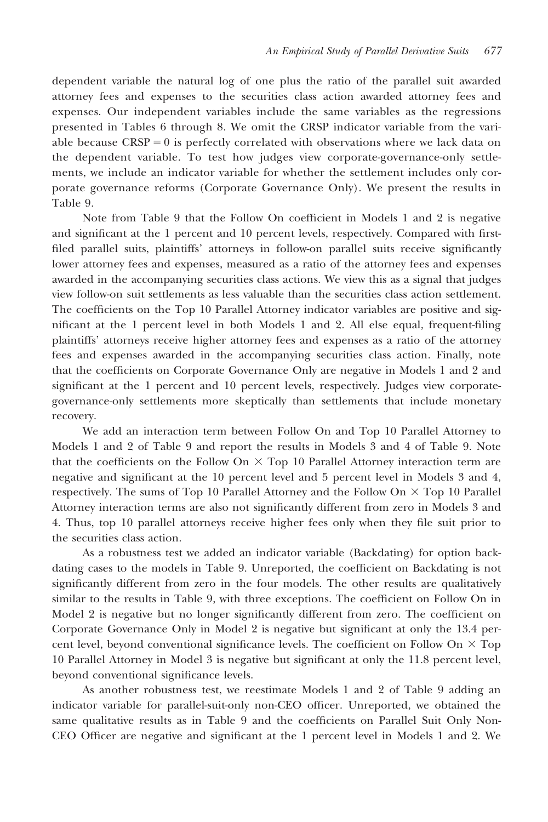dependent variable the natural log of one plus the ratio of the parallel suit awarded attorney fees and expenses to the securities class action awarded attorney fees and expenses. Our independent variables include the same variables as the regressions presented in Tables 6 through 8. We omit the CRSP indicator variable from the variable because  $CRSP = 0$  is perfectly correlated with observations where we lack data on the dependent variable. To test how judges view corporate-governance-only settlements, we include an indicator variable for whether the settlement includes only corporate governance reforms (Corporate Governance Only). We present the results in Table 9.

Note from Table 9 that the Follow On coefficient in Models 1 and 2 is negative and significant at the 1 percent and 10 percent levels, respectively. Compared with firstfiled parallel suits, plaintiffs' attorneys in follow-on parallel suits receive significantly lower attorney fees and expenses, measured as a ratio of the attorney fees and expenses awarded in the accompanying securities class actions. We view this as a signal that judges view follow-on suit settlements as less valuable than the securities class action settlement. The coefficients on the Top 10 Parallel Attorney indicator variables are positive and significant at the 1 percent level in both Models 1 and 2. All else equal, frequent-filing plaintiffs' attorneys receive higher attorney fees and expenses as a ratio of the attorney fees and expenses awarded in the accompanying securities class action. Finally, note that the coefficients on Corporate Governance Only are negative in Models 1 and 2 and significant at the 1 percent and 10 percent levels, respectively. Judges view corporategovernance-only settlements more skeptically than settlements that include monetary recovery.

We add an interaction term between Follow On and Top 10 Parallel Attorney to Models 1 and 2 of Table 9 and report the results in Models 3 and 4 of Table 9. Note that the coefficients on the Follow On  $\times$  Top 10 Parallel Attorney interaction term are negative and significant at the 10 percent level and 5 percent level in Models 3 and 4, respectively. The sums of Top 10 Parallel Attorney and the Follow On  $\times$  Top 10 Parallel Attorney interaction terms are also not significantly different from zero in Models 3 and 4. Thus, top 10 parallel attorneys receive higher fees only when they file suit prior to the securities class action.

As a robustness test we added an indicator variable (Backdating) for option backdating cases to the models in Table 9. Unreported, the coefficient on Backdating is not significantly different from zero in the four models. The other results are qualitatively similar to the results in Table 9, with three exceptions. The coefficient on Follow On in Model 2 is negative but no longer significantly different from zero. The coefficient on Corporate Governance Only in Model 2 is negative but significant at only the 13.4 percent level, beyond conventional significance levels. The coefficient on Follow On  $\times$  Top 10 Parallel Attorney in Model 3 is negative but significant at only the 11.8 percent level, beyond conventional significance levels.

As another robustness test, we reestimate Models 1 and 2 of Table 9 adding an indicator variable for parallel-suit-only non-CEO officer. Unreported, we obtained the same qualitative results as in Table 9 and the coefficients on Parallel Suit Only Non-CEO Officer are negative and significant at the 1 percent level in Models 1 and 2. We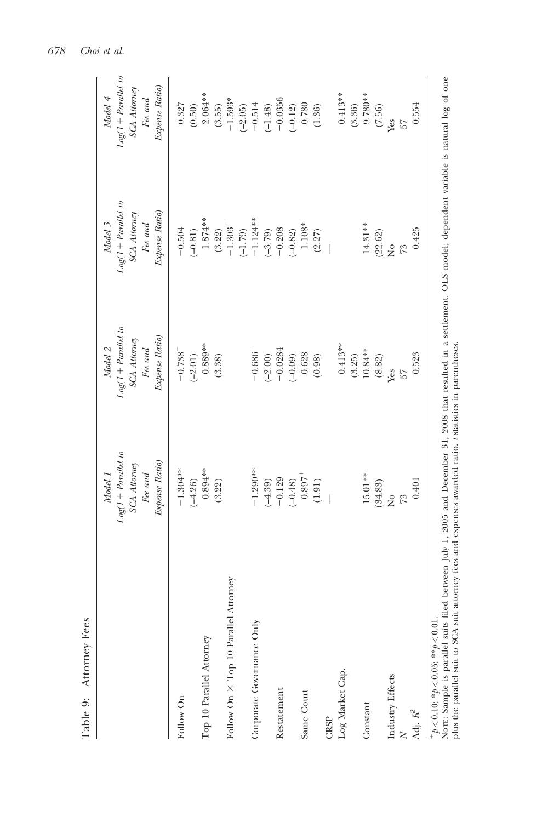|                                                         | $\begin{array}{l} Log(1+Parallel\ to \\ SCA\ Atome \end{array}$<br>Expense Ratio)<br>$Model\ I$<br>Fee $\emph{and}$ | $\begin{array}{l} Log(1+Parallel\ to \\ SCA\ Atomey \end{array}$<br>Expense Ratio)<br>$Model$ $2\,$<br>$\operatorname*{Fe}\operatorname*{and}% \operatorname*{H}\nolimits_{\operatorname*{Ab}\nolimits}^{\operatorname*{Ab}\nolimits}$ and | Model 3<br>Log(1 + Parallel to<br>SCA Attorney<br>Expense Ratio)<br>$\operatorname{Fe}$ and | $\begin{array}{l} Log(1+Parallel\ to \\ SCA\ Atome \end{array}$<br>Expense Ratio)<br>Model 4 $\,$<br>$\operatorname*{Fe}\,$ and |
|---------------------------------------------------------|---------------------------------------------------------------------------------------------------------------------|--------------------------------------------------------------------------------------------------------------------------------------------------------------------------------------------------------------------------------------------|---------------------------------------------------------------------------------------------|---------------------------------------------------------------------------------------------------------------------------------|
| Follow On                                               | $-1.304**$<br>$(-4.26)$                                                                                             | $-0.738^{+}$<br>$(-2.01)$                                                                                                                                                                                                                  | $-0.504$<br>$(-0.81)$                                                                       |                                                                                                                                 |
| Top 10 Parallel Attorney                                | $0.894***$<br>(3.22)                                                                                                | $0.889**$<br>(3.38)                                                                                                                                                                                                                        |                                                                                             | $0.327$<br>$(0.50)$<br>$2.064**$<br>$(3.55)$<br>$-1.593*$                                                                       |
| Follow On $\times$ Top 10 Parallel Attorney             |                                                                                                                     |                                                                                                                                                                                                                                            | 1.874**<br>$(3.22)$<br>$-1.303$ +<br>$(-1.79)$<br>$-1.124$ **                               |                                                                                                                                 |
| Only<br>Corporate Governance                            | $-1.290**$                                                                                                          | $-0.686^{+}$                                                                                                                                                                                                                               |                                                                                             |                                                                                                                                 |
| Restatement                                             | $(-4.39)$<br>$-0.129$<br>$(-0.48)$                                                                                  | $(-2.00)$<br>-0.0284<br>$(-0.09)$                                                                                                                                                                                                          | $(-3.79)$<br>$-0.208$<br>$(-0.82)$                                                          | $\begin{array}{c} (-2.05) \\ -0.514 \\ \hline (-1.48) \\ -0.0356 \\ \hline (-0.12) \\ 0.780 \end{array}$                        |
| Same Court                                              | $0.897^+$                                                                                                           | 0.628<br>(0.98)                                                                                                                                                                                                                            | $1.108\,^*$<br>(2.27)                                                                       | (1.36)                                                                                                                          |
| <b>CRSP</b>                                             | (1.91)                                                                                                              |                                                                                                                                                                                                                                            | $\overline{1}$                                                                              |                                                                                                                                 |
| Log Market Cap.                                         |                                                                                                                     | $0.413***$                                                                                                                                                                                                                                 |                                                                                             | $0.413***$                                                                                                                      |
| Constant                                                | $15.01**$<br>(34.83)                                                                                                | $(3.25)$<br>10.84**<br>$(8.82)$                                                                                                                                                                                                            | $14.31***$<br>(22.62)                                                                       | $(3.36)$<br>9.780**<br>(7.56)                                                                                                   |
| Industry Effects                                        | $2\frac{1}{2}$                                                                                                      | Yes<br>57                                                                                                                                                                                                                                  | $2\frac{1}{2}$                                                                              | Yes<br>57                                                                                                                       |
| Adj. $\mathbb{R}^2$                                     | 0.401                                                                                                               | 0.523                                                                                                                                                                                                                                      | 0.425                                                                                       | 0.554                                                                                                                           |
| $\cdots$<br>$+ p < 0.10;$ * $p < 0.05;$ ** $p < 0.01$ . | $1.11 - 1.000$ $1.1$ $1.1$ $1.1$ $1.1$ $1.1$ $1.1$ $1.1$ $1.1$ $1.1$ $1.1$                                          |                                                                                                                                                                                                                                            |                                                                                             |                                                                                                                                 |

Nore: Sample is parallel suits filed between July 1, 2005 and December 31, 2008 that resulted in a settlement. OLS model; dependent variable is natural log of one<br>plus the parallel suit to SCA suit attorney fees and expens NOTE: Sample is parallel suits filed between July 1, 2005 and December 31, 2008 that resulted in a settlement. OLS model; dependent variable is natural log of one plus the parallel suit to SCA suit attorney fees and expenses awarded ratio. t statistics in parentheses.

Table 9: Attorney Fees

Table 9: Attorney Fees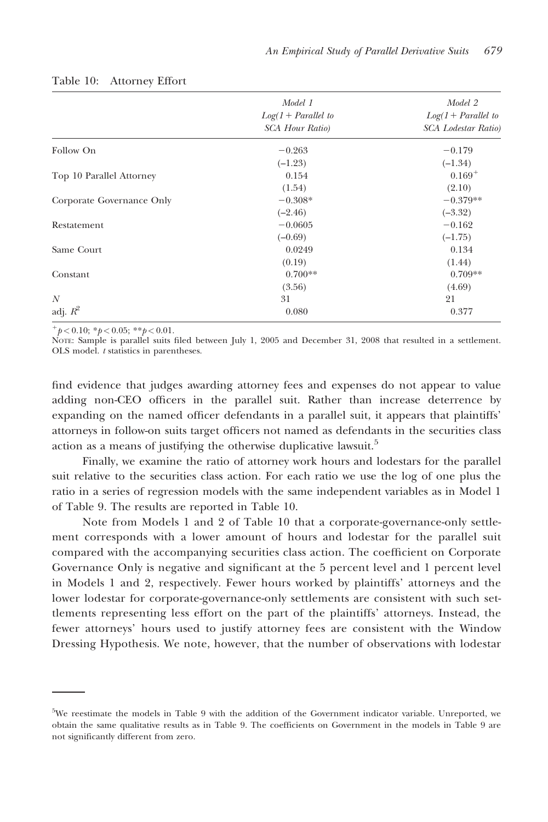|                           | Model 1<br>$Log(1 + Parallel to$<br><b>SCA Hour Ratio)</b> | Model 2<br>$Log(1 + Parallel to$<br><b>SCA</b> Lodestar Ratio) |
|---------------------------|------------------------------------------------------------|----------------------------------------------------------------|
|                           |                                                            |                                                                |
|                           |                                                            |                                                                |
| Follow On                 | $-0.263$                                                   | $-0.179$                                                       |
|                           | $(-1.23)$                                                  | $(-1.34)$                                                      |
| Top 10 Parallel Attorney  | 0.154                                                      | $0.169^{+}$                                                    |
|                           | (1.54)                                                     | (2.10)                                                         |
| Corporate Governance Only | $-0.308*$                                                  | $-0.379**$                                                     |
|                           | $(-2.46)$                                                  | $(-3.32)$                                                      |
| Restatement               | $-0.0605$                                                  | $-0.162$                                                       |
|                           | $(-0.69)$                                                  | $(-1.75)$                                                      |
| Same Court                | 0.0249                                                     | 0.134                                                          |
|                           | (0.19)                                                     | (1.44)                                                         |
| Constant                  | $0.700**$                                                  | $0.709**$                                                      |
|                           | (3.56)                                                     | (4.69)                                                         |
| $\boldsymbol{N}$          | 31                                                         | 21                                                             |
| adj. $R^2$                | 0.080                                                      | 0.377                                                          |

#### Table 10: Attorney Effort

 $^{+}p < 0.10; ^{*}p < 0.05; ^{*}p < 0.01.$ 

NOTE: Sample is parallel suits filed between July 1, 2005 and December 31, 2008 that resulted in a settlement. OLS model. t statistics in parentheses.

find evidence that judges awarding attorney fees and expenses do not appear to value adding non-CEO officers in the parallel suit. Rather than increase deterrence by expanding on the named officer defendants in a parallel suit, it appears that plaintiffs' attorneys in follow-on suits target officers not named as defendants in the securities class action as a means of justifying the otherwise duplicative lawsuit.<sup>5</sup>

Finally, we examine the ratio of attorney work hours and lodestars for the parallel suit relative to the securities class action. For each ratio we use the log of one plus the ratio in a series of regression models with the same independent variables as in Model 1 of Table 9. The results are reported in Table 10.

Note from Models 1 and 2 of Table 10 that a corporate-governance-only settlement corresponds with a lower amount of hours and lodestar for the parallel suit compared with the accompanying securities class action. The coefficient on Corporate Governance Only is negative and significant at the 5 percent level and 1 percent level in Models 1 and 2, respectively. Fewer hours worked by plaintiffs' attorneys and the lower lodestar for corporate-governance-only settlements are consistent with such settlements representing less effort on the part of the plaintiffs' attorneys. Instead, the fewer attorneys' hours used to justify attorney fees are consistent with the Window Dressing Hypothesis. We note, however, that the number of observations with lodestar

<sup>5</sup> We reestimate the models in Table 9 with the addition of the Government indicator variable. Unreported, we obtain the same qualitative results as in Table 9. The coefficients on Government in the models in Table 9 are not significantly different from zero.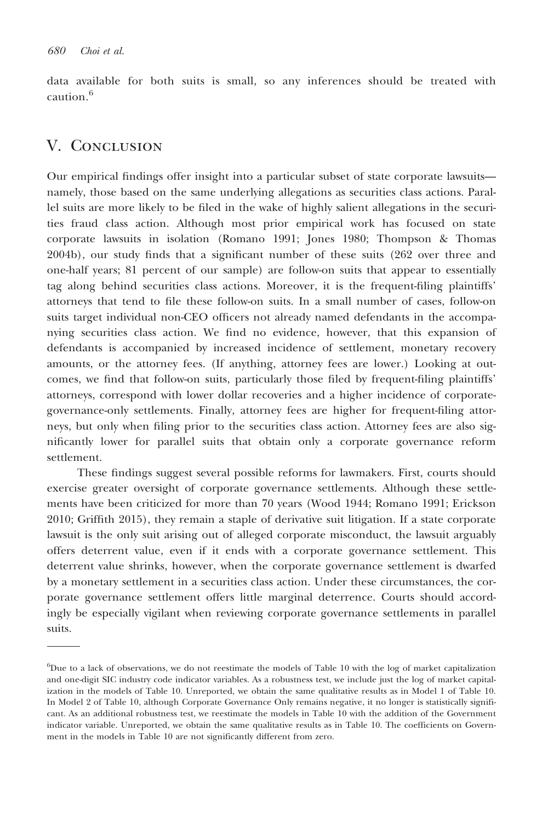data available for both suits is small, so any inferences should be treated with caution.<sup>6</sup>

# V. CONCLUSION

Our empirical findings offer insight into a particular subset of state corporate lawsuits namely, those based on the same underlying allegations as securities class actions. Parallel suits are more likely to be filed in the wake of highly salient allegations in the securities fraud class action. Although most prior empirical work has focused on state corporate lawsuits in isolation (Romano 1991; Jones 1980; Thompson & Thomas 2004b), our study finds that a significant number of these suits (262 over three and one-half years; 81 percent of our sample) are follow-on suits that appear to essentially tag along behind securities class actions. Moreover, it is the frequent-filing plaintiffs' attorneys that tend to file these follow-on suits. In a small number of cases, follow-on suits target individual non-CEO officers not already named defendants in the accompanying securities class action. We find no evidence, however, that this expansion of defendants is accompanied by increased incidence of settlement, monetary recovery amounts, or the attorney fees. (If anything, attorney fees are lower.) Looking at outcomes, we find that follow-on suits, particularly those filed by frequent-filing plaintiffs' attorneys, correspond with lower dollar recoveries and a higher incidence of corporategovernance-only settlements. Finally, attorney fees are higher for frequent-filing attorneys, but only when filing prior to the securities class action. Attorney fees are also significantly lower for parallel suits that obtain only a corporate governance reform settlement.

These findings suggest several possible reforms for lawmakers. First, courts should exercise greater oversight of corporate governance settlements. Although these settlements have been criticized for more than 70 years (Wood 1944; Romano 1991; Erickson 2010; Griffith 2015), they remain a staple of derivative suit litigation. If a state corporate lawsuit is the only suit arising out of alleged corporate misconduct, the lawsuit arguably offers deterrent value, even if it ends with a corporate governance settlement. This deterrent value shrinks, however, when the corporate governance settlement is dwarfed by a monetary settlement in a securities class action. Under these circumstances, the corporate governance settlement offers little marginal deterrence. Courts should accordingly be especially vigilant when reviewing corporate governance settlements in parallel suits.

<sup>&</sup>lt;sup>6</sup>Due to a lack of observations, we do not reestimate the models of Table 10 with the log of market capitalization and one-digit SIC industry code indicator variables. As a robustness test, we include just the log of market capitalization in the models of Table 10. Unreported, we obtain the same qualitative results as in Model 1 of Table 10. In Model 2 of Table 10, although Corporate Governance Only remains negative, it no longer is statistically significant. As an additional robustness test, we reestimate the models in Table 10 with the addition of the Government indicator variable. Unreported, we obtain the same qualitative results as in Table 10. The coefficients on Government in the models in Table 10 are not significantly different from zero.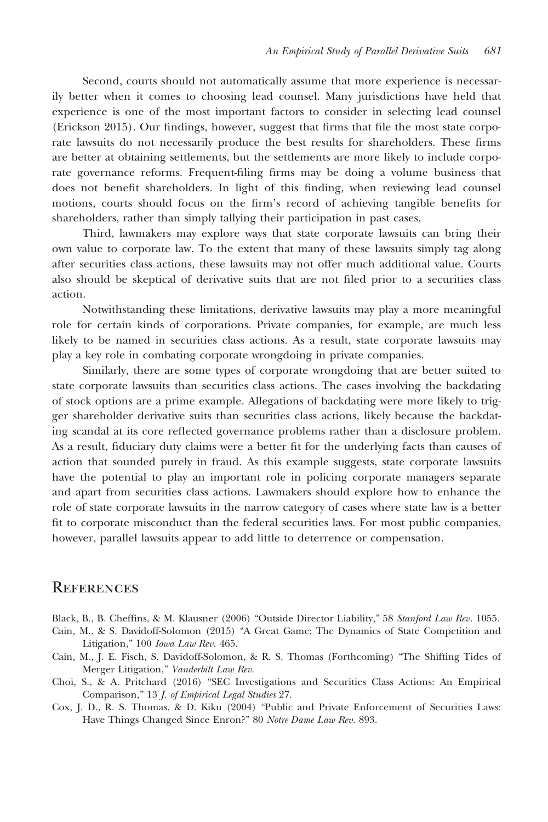Second, courts should not automatically assume that more experience is necessarily better when it comes to choosing lead counsel. Many jurisdictions have held that experience is one of the most important factors to consider in selecting lead counsel (Erickson 2015). Our findings, however, suggest that firms that file the most state corporate lawsuits do not necessarily produce the best results for shareholders. These firms are better at obtaining settlements, but the settlements are more likely to include corporate governance reforms. Frequent-filing firms may be doing a volume business that does not benefit shareholders. In light of this finding, when reviewing lead counsel motions, courts should focus on the firm's record of achieving tangible benefits for shareholders, rather than simply tallying their participation in past cases.

Third, lawmakers may explore ways that state corporate lawsuits can bring their own value to corporate law. To the extent that many of these lawsuits simply tag along after securities class actions, these lawsuits may not offer much additional value. Courts also should be skeptical of derivative suits that are not filed prior to a securities class action.

Notwithstanding these limitations, derivative lawsuits may play a more meaningful role for certain kinds of corporations. Private companies, for example, are much less likely to be named in securities class actions. As a result, state corporate lawsuits may play a key role in combating corporate wrongdoing in private companies.

Similarly, there are some types of corporate wrongdoing that are better suited to state corporate lawsuits than securities class actions. The cases involving the backdating of stock options are a prime example. Allegations of backdating were more likely to trigger shareholder derivative suits than securities class actions, likely because the backdating scandal at its core reflected governance problems rather than a disclosure problem. As a result, fiduciary duty claims were a better fit for the underlying facts than causes of action that sounded purely in fraud. As this example suggests, state corporate lawsuits have the potential to play an important role in policing corporate managers separate and apart from securities class actions. Lawmakers should explore how to enhance the role of state corporate lawsuits in the narrow category of cases where state law is a better fit to corporate misconduct than the federal securities laws. For most public companies, however, parallel lawsuits appear to add little to deterrence or compensation.

### **REFERENCES**

- Black, B., B. Cheffins, & M. Klausner (2006) "Outside Director Liability," 58 Stanford Law Rev. 1055.
- Cain, M., & S. Davidoff-Solomon (2015) "A Great Game: The Dynamics of State Competition and Litigation," 100 Iowa Law Rev. 465.
- Cain, M., J. E. Fisch, S. Davidoff-Solomon, & R. S. Thomas (Forthcoming) "The Shifting Tides of Merger Litigation," Vanderbilt Law Rev.
- Choi, S., & A. Pritchard (2016) "SEC Investigations and Securities Class Actions: An Empirical Comparison," 13 J. of Empirical Legal Studies 27.
- Cox, J. D., R. S. Thomas, & D. Kiku (2004) "Public and Private Enforcement of Securities Laws: Have Things Changed Since Enron?" 80 Notre Dame Law Rev. 893.